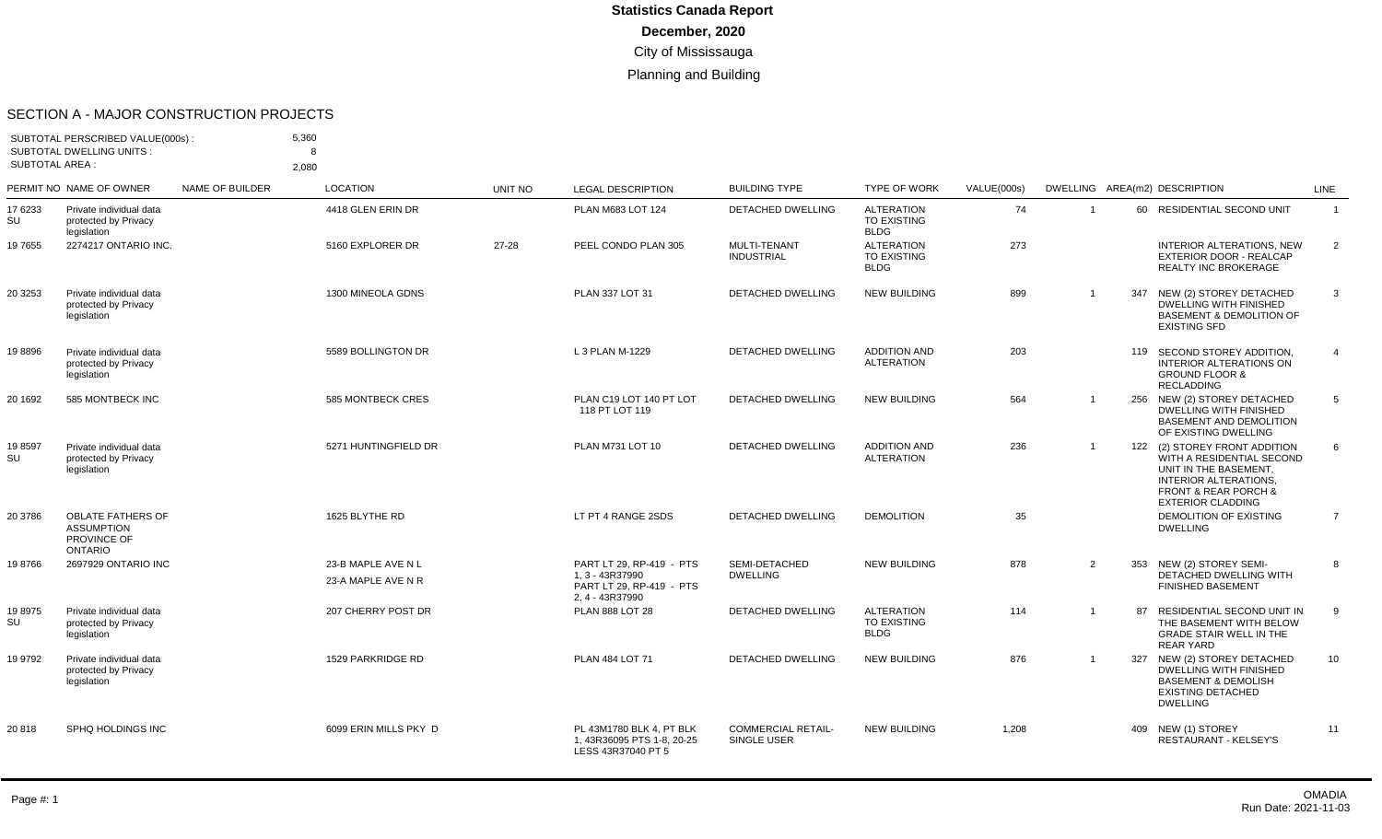#### SECTION A - MAJOR CONSTRUCTION PROJECTS

| <b>SUBTOTAL AREA:</b> | SUBTOTAL PERSCRIBED VALUE(000s):<br><b>SUBTOTAL DWELLING UNITS:</b>            |                        | 5,360<br>8<br>2.080                      |                |                                                                                            |                                          |                                                        |             |                |     |                                                                                                                                                                                        |                 |
|-----------------------|--------------------------------------------------------------------------------|------------------------|------------------------------------------|----------------|--------------------------------------------------------------------------------------------|------------------------------------------|--------------------------------------------------------|-------------|----------------|-----|----------------------------------------------------------------------------------------------------------------------------------------------------------------------------------------|-----------------|
|                       | PERMIT NO NAME OF OWNER                                                        | <b>NAME OF BUILDER</b> | <b>LOCATION</b>                          | <b>UNIT NO</b> | <b>LEGAL DESCRIPTION</b>                                                                   | <b>BUILDING TYPE</b>                     | <b>TYPE OF WORK</b>                                    | VALUE(000s) |                |     | DWELLING AREA(m2) DESCRIPTION                                                                                                                                                          | <b>LINE</b>     |
| 17 6233<br>SU         | Private individual data<br>protected by Privacy<br>legislation                 |                        | 4418 GLEN ERIN DR                        |                | PLAN M683 LOT 124                                                                          | <b>DETACHED DWELLING</b>                 | <b>ALTERATION</b><br>TO EXISTING<br><b>BLDG</b>        | 74          | $\overline{1}$ |     | 60 RESIDENTIAL SECOND UNIT                                                                                                                                                             | $\overline{1}$  |
| 19 7655               | 2274217 ONTARIO INC.                                                           |                        | 5160 EXPLORER DR                         | 27-28          | PEEL CONDO PLAN 305                                                                        | MULTI-TENANT<br><b>INDUSTRIAL</b>        | <b>ALTERATION</b><br><b>TO EXISTING</b><br><b>BLDG</b> | 273         |                |     | INTERIOR ALTERATIONS, NEW<br>EXTERIOR DOOR - REALCAP<br><b>REALTY INC BROKERAGE</b>                                                                                                    | 2               |
| 20 3253               | Private individual data<br>protected by Privacy<br>legislation                 |                        | 1300 MINEOLA GDNS                        |                | PLAN 337 LOT 31                                                                            | <b>DETACHED DWELLING</b>                 | <b>NEW BUILDING</b>                                    | 899         | $\overline{1}$ | 347 | NEW (2) STOREY DETACHED<br><b>DWELLING WITH FINISHED</b><br><b>BASEMENT &amp; DEMOLITION OF</b><br><b>EXISTING SFD</b>                                                                 | 3               |
| 198896                | Private individual data<br>protected by Privacy<br>legislation                 |                        | 5589 BOLLINGTON DR                       |                | L 3 PLAN M-1229                                                                            | DETACHED DWELLING                        | <b>ADDITION AND</b><br><b>ALTERATION</b>               | 203         |                |     | 119 SECOND STOREY ADDITION,<br><b>INTERIOR ALTERATIONS ON</b><br><b>GROUND FLOOR &amp;</b><br><b>RECLADDING</b>                                                                        | $\overline{4}$  |
| 20 1692               | 585 MONTBECK INC                                                               |                        | 585 MONTBECK CRES                        |                | PLAN C19 LOT 140 PT LOT<br>118 PT LOT 119                                                  | <b>DETACHED DWELLING</b>                 | <b>NEW BUILDING</b>                                    | 564         | $\overline{1}$ |     | 256 NEW (2) STOREY DETACHED<br>DWELLING WITH FINISHED<br><b>BASEMENT AND DEMOLITION</b><br>OF EXISTING DWELLING                                                                        | 5               |
| 198597<br>SU          | Private individual data<br>protected by Privacy<br>legislation                 |                        | 5271 HUNTINGFIELD DR                     |                | PLAN M731 LOT 10                                                                           | <b>DETACHED DWELLING</b>                 | <b>ADDITION AND</b><br><b>ALTERATION</b>               | 236         | $\overline{1}$ |     | 122 (2) STOREY FRONT ADDITION<br>WITH A RESIDENTIAL SECOND<br>UNIT IN THE BASEMENT,<br><b>INTERIOR ALTERATIONS.</b><br><b>FRONT &amp; REAR PORCH &amp;</b><br><b>EXTERIOR CLADDING</b> | 6               |
| 20 3786               | <b>OBLATE FATHERS OF</b><br><b>ASSUMPTION</b><br>PROVINCE OF<br><b>ONTARIO</b> |                        | 1625 BLYTHE RD                           |                | LT PT 4 RANGE 2SDS                                                                         | <b>DETACHED DWELLING</b>                 | <b>DEMOLITION</b>                                      | 35          |                |     | <b>DEMOLITION OF EXISTING</b><br><b>DWELLING</b>                                                                                                                                       | $\overline{7}$  |
| 198766                | 2697929 ONTARIO INC                                                            |                        | 23-B MAPLE AVE N L<br>23-A MAPLE AVE N R |                | PART LT 29, RP-419 - PTS<br>1, 3 - 43R37990<br>PART LT 29, RP-419 - PTS<br>2, 4 - 43R37990 | SEMI-DETACHED<br><b>DWELLING</b>         | <b>NEW BUILDING</b>                                    | 878         | $\overline{2}$ |     | 353 NEW (2) STOREY SEMI-<br>DETACHED DWELLING WITH<br><b>FINISHED BASEMENT</b>                                                                                                         | 8               |
| 19 8975<br>SU         | Private individual data<br>protected by Privacy<br>legislation                 |                        | 207 CHERRY POST DR                       |                | <b>PLAN 888 LOT 28</b>                                                                     | <b>DETACHED DWELLING</b>                 | <b>ALTERATION</b><br>TO EXISTING<br><b>BLDG</b>        | 114         | $\overline{1}$ | 87  | RESIDENTIAL SECOND UNIT IN<br>THE BASEMENT WITH BELOW<br><b>GRADE STAIR WELL IN THE</b><br><b>REAR YARD</b>                                                                            | 9               |
| 19 9792               | Private individual data<br>protected by Privacy<br>legislation                 |                        | 1529 PARKRIDGE RD                        |                | PLAN 484 LOT 71                                                                            | <b>DETACHED DWELLING</b>                 | <b>NEW BUILDING</b>                                    | 876         | $\overline{1}$ |     | 327 NEW (2) STOREY DETACHED<br><b>DWELLING WITH FINISHED</b><br><b>BASEMENT &amp; DEMOLISH</b><br><b>EXISTING DETACHED</b><br><b>DWELLING</b>                                          | 10 <sup>°</sup> |
| 20818                 | SPHQ HOLDINGS INC                                                              |                        | 6099 ERIN MILLS PKY D                    |                | PL 43M1780 BLK 4. PT BLK<br>1, 43R36095 PTS 1-8, 20-25<br>LESS 43R37040 PT 5               | <b>COMMERCIAL RETAIL-</b><br>SINGLE USER | <b>NEW BUILDING</b>                                    | 1.208       |                |     | 409 NEW (1) STOREY<br><b>RESTAURANT - KELSEY'S</b>                                                                                                                                     | 11              |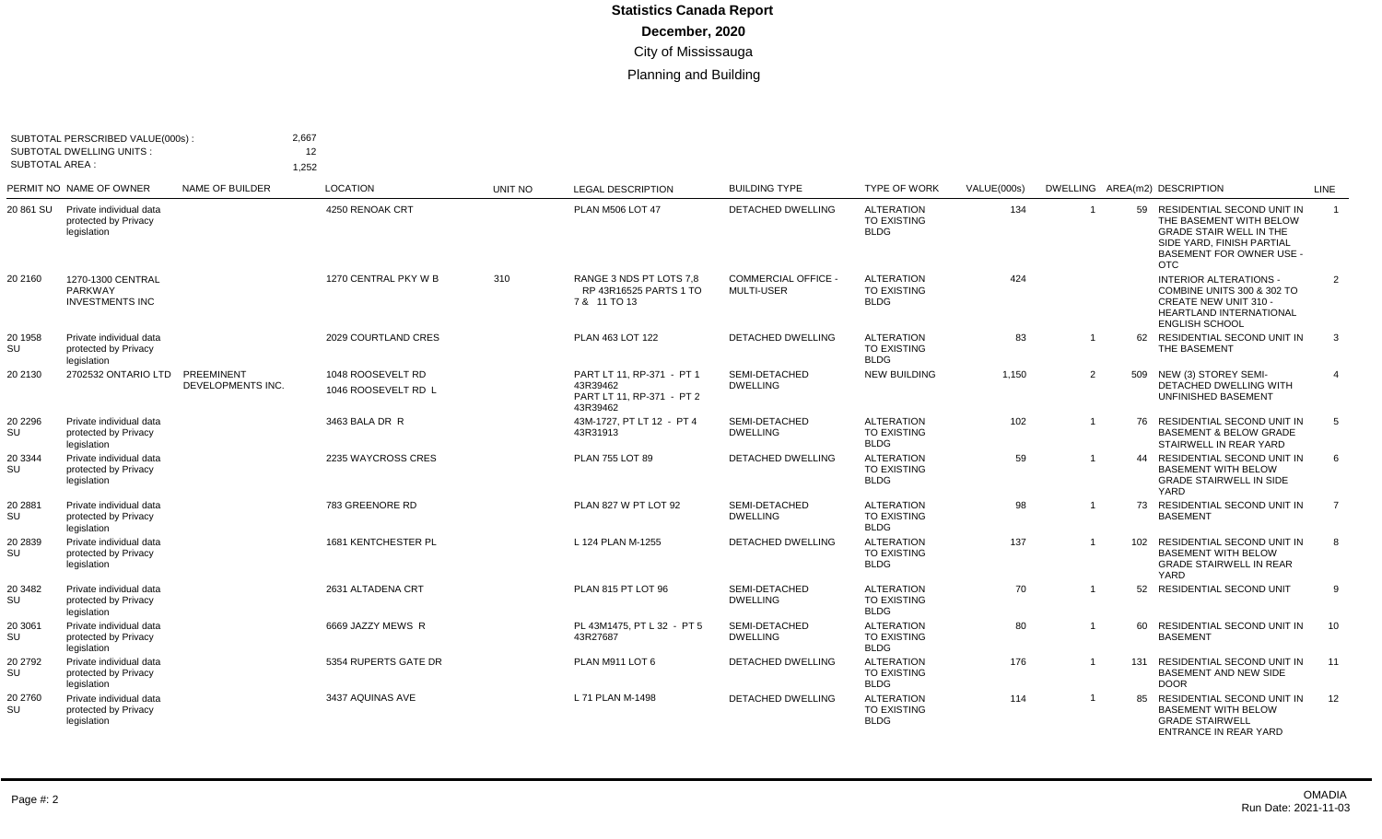| <b>SUBTOTAL AREA:</b> | SUBTOTAL PERSCRIBED VALUE(000s):<br><b>SUBTOTAL DWELLING UNITS:</b> | 2,667<br>1,252                  | 12                                       |                |                                                                                |                                                 |                                                        |             |                |     |                                                                                                                                                                       |                |
|-----------------------|---------------------------------------------------------------------|---------------------------------|------------------------------------------|----------------|--------------------------------------------------------------------------------|-------------------------------------------------|--------------------------------------------------------|-------------|----------------|-----|-----------------------------------------------------------------------------------------------------------------------------------------------------------------------|----------------|
|                       | PERMIT NO NAME OF OWNER                                             | NAME OF BUILDER                 | <b>LOCATION</b>                          | <b>UNIT NO</b> | <b>LEGAL DESCRIPTION</b>                                                       | <b>BUILDING TYPE</b>                            | <b>TYPE OF WORK</b>                                    | VALUE(000s) |                |     | DWELLING AREA(m2) DESCRIPTION                                                                                                                                         | LINE           |
| 20 861 SU             | Private individual data<br>protected by Privacy<br>legislation      |                                 | 4250 RENOAK CRT                          |                | PLAN M506 LOT 47                                                               | DETACHED DWELLING                               | <b>ALTERATION</b><br>TO EXISTING<br><b>BLDG</b>        | 134         | -1             | 59  | RESIDENTIAL SECOND UNIT IN<br>THE BASEMENT WITH BELOW<br><b>GRADE STAIR WELL IN THE</b><br>SIDE YARD, FINISH PARTIAL<br><b>BASEMENT FOR OWNER USE -</b><br><b>OTC</b> | $\overline{1}$ |
| 20 2160               | 1270-1300 CENTRAL<br>PARKWAY<br><b>INVESTMENTS INC</b>              |                                 | 1270 CENTRAL PKY W B                     | 310            | RANGE 3 NDS PT LOTS 7.8<br>RP 43R16525 PARTS 1 TO<br>7 & 11 TO 13              | <b>COMMERCIAL OFFICE -</b><br><b>MULTI-USER</b> | <b>ALTERATION</b><br>TO EXISTING<br><b>BLDG</b>        | 424         |                |     | <b>INTERIOR ALTERATIONS -</b><br>COMBINE UNITS 300 & 302 TO<br><b>CREATE NEW UNIT 310 -</b><br><b>HEARTLAND INTERNATIONAL</b><br><b>ENGLISH SCHOOL</b>                | 2              |
| 20 1958<br>SU         | Private individual data<br>protected by Privacy<br>legislation      |                                 | 2029 COURTLAND CRES                      |                | PLAN 463 LOT 122                                                               | DETACHED DWELLING                               | <b>ALTERATION</b><br><b>TO EXISTING</b><br><b>BLDG</b> | 83          | $\overline{1}$ |     | 62 RESIDENTIAL SECOND UNIT IN<br>THE BASEMENT                                                                                                                         | $\mathbf{3}$   |
| 20 2130               | 2702532 ONTARIO LTD                                                 | PREEMINENT<br>DEVELOPMENTS INC. | 1048 ROOSEVELT RD<br>1046 ROOSEVELT RD L |                | PART LT 11, RP-371 - PT 1<br>43R39462<br>PART LT 11, RP-371 - PT 2<br>43R39462 | SEMI-DETACHED<br><b>DWELLING</b>                | <b>NEW BUILDING</b>                                    | 1,150       | $\overline{2}$ | 509 | NEW (3) STOREY SEMI-<br>DETACHED DWELLING WITH<br>UNFINISHED BASEMENT                                                                                                 |                |
| 20 2296<br>SU         | Private individual data<br>protected by Privacy<br>legislation      |                                 | 3463 BALA DR R                           |                | 43M-1727. PT LT 12 - PT 4<br>43R31913                                          | SEMI-DETACHED<br><b>DWELLING</b>                | <b>ALTERATION</b><br><b>TO EXISTING</b><br><b>BLDG</b> | 102         | $\overline{1}$ | 76  | <b>RESIDENTIAL SECOND UNIT IN</b><br><b>BASEMENT &amp; BELOW GRADE</b><br>STAIRWELL IN REAR YARD                                                                      | 5              |
| 20 3344<br>SU         | Private individual data<br>protected by Privacy<br>legislation      |                                 | 2235 WAYCROSS CRES                       |                | PLAN 755 LOT 89                                                                | <b>DETACHED DWELLING</b>                        | <b>ALTERATION</b><br><b>TO EXISTING</b><br><b>BLDG</b> | 59          | $\overline{1}$ | 44  | <b>RESIDENTIAL SECOND UNIT IN</b><br><b>BASEMENT WITH BELOW</b><br><b>GRADE STAIRWELL IN SIDE</b><br>YARD                                                             | 6              |
| 20 2881<br>SU         | Private individual data<br>protected by Privacy<br>legislation      |                                 | 783 GREENORE RD                          |                | PLAN 827 W PT LOT 92                                                           | SEMI-DETACHED<br><b>DWELLING</b>                | <b>ALTERATION</b><br><b>TO EXISTING</b><br><b>BLDG</b> | 98          |                | 73  | <b>RESIDENTIAL SECOND UNIT IN</b><br><b>BASEMENT</b>                                                                                                                  | $\overline{7}$ |
| 20 2839<br>SU         | Private individual data<br>protected by Privacy<br>legislation      |                                 | 1681 KENTCHESTER PL                      |                | L 124 PLAN M-1255                                                              | <b>DETACHED DWELLING</b>                        | <b>ALTERATION</b><br><b>TO EXISTING</b><br><b>BLDG</b> | 137         | $\overline{1}$ | 102 | RESIDENTIAL SECOND UNIT IN<br><b>BASEMENT WITH BELOW</b><br><b>GRADE STAIRWELL IN REAR</b><br>YARD                                                                    | 8              |
| 20 3482<br>SU         | Private individual data<br>protected by Privacy<br>legislation      |                                 | 2631 ALTADENA CRT                        |                | PLAN 815 PT LOT 96                                                             | SEMI-DETACHED<br><b>DWELLING</b>                | <b>ALTERATION</b><br>TO EXISTING<br><b>BLDG</b>        | 70          | $\overline{1}$ | 52  | <b>RESIDENTIAL SECOND UNIT</b>                                                                                                                                        | <b>q</b>       |
| 20 3061<br>SU         | Private individual data<br>protected by Privacy<br>legislation      |                                 | 6669 JAZZY MEWS R                        |                | PL 43M1475, PT L 32 - PT 5<br>43R27687                                         | SEMI-DETACHED<br><b>DWELLING</b>                | <b>ALTERATION</b><br>TO EXISTING<br><b>BLDG</b>        | 80          | -1             | 60  | RESIDENTIAL SECOND UNIT IN<br><b>BASEMENT</b>                                                                                                                         | 10             |
| 20 2792<br>SU         | Private individual data<br>protected by Privacy<br>legislation      |                                 | 5354 RUPERTS GATE DR                     |                | PLAN M911 LOT 6                                                                | <b>DETACHED DWELLING</b>                        | <b>ALTERATION</b><br><b>TO EXISTING</b><br><b>BLDG</b> | 176         | $\overline{1}$ |     | 131 RESIDENTIAL SECOND UNIT IN<br><b>BASEMENT AND NEW SIDE</b><br><b>DOOR</b>                                                                                         | 11             |
| 20 2760<br>SU         | Private individual data<br>protected by Privacy<br>legislation      |                                 | 3437 AQUINAS AVE                         |                | L 71 PLAN M-1498                                                               | <b>DETACHED DWELLING</b>                        | <b>ALTERATION</b><br><b>TO EXISTING</b><br><b>BLDG</b> | 114         | $\overline{1}$ | 85  | RESIDENTIAL SECOND UNIT IN<br><b>BASEMENT WITH BELOW</b><br><b>GRADE STAIRWELL</b><br><b>ENTRANCE IN REAR YARD</b>                                                    | 12             |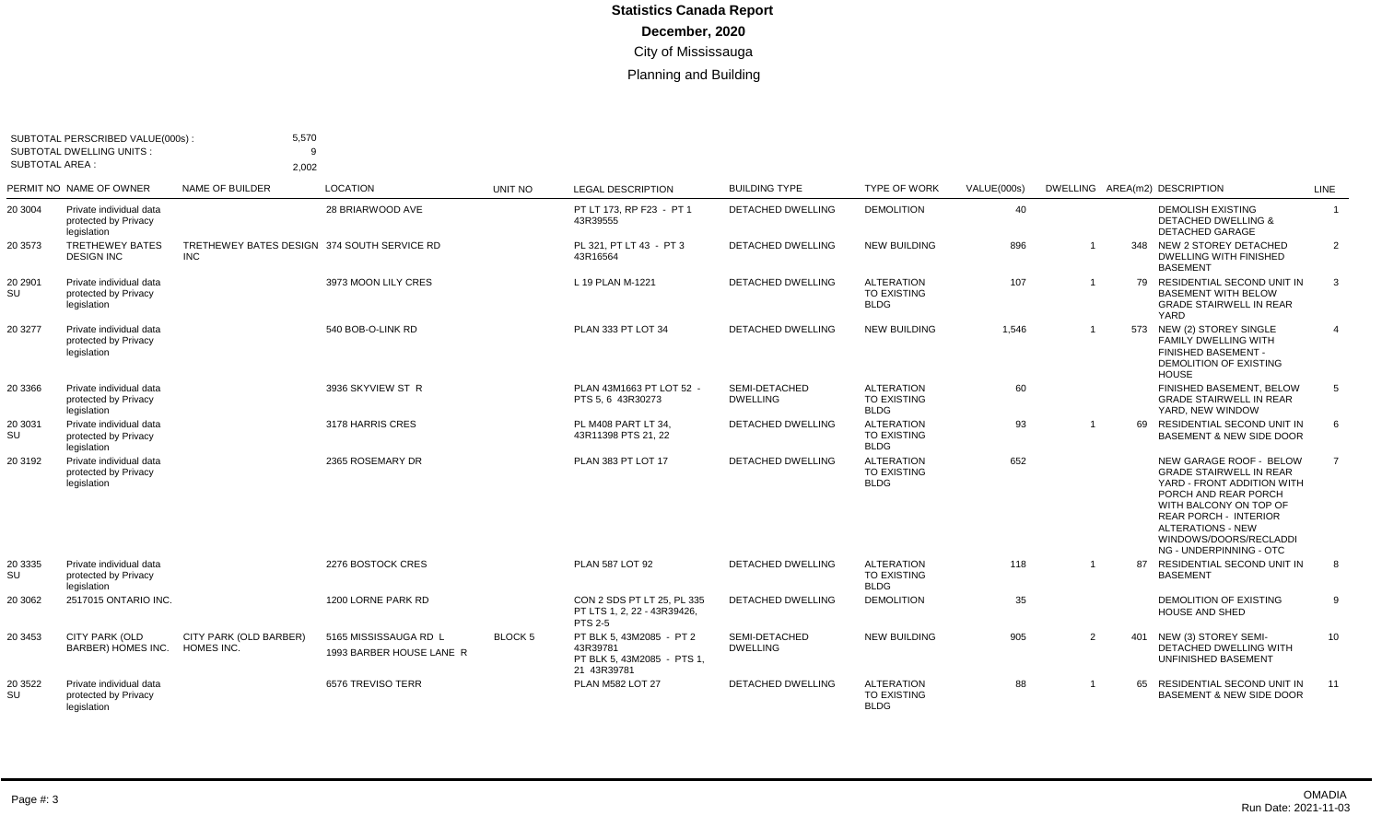| <b>SUBTOTAL AREA:</b> | SUBTOTAL PERSCRIBED VALUE(000s):<br><b>SUBTOTAL DWELLING UNITS:</b> | 5,570<br>a<br>2,002                                       |                                                   |                |                                                                                  |                                  |                                                        |             |                |    |                                                                                                                                                                                                                                                            |                |
|-----------------------|---------------------------------------------------------------------|-----------------------------------------------------------|---------------------------------------------------|----------------|----------------------------------------------------------------------------------|----------------------------------|--------------------------------------------------------|-------------|----------------|----|------------------------------------------------------------------------------------------------------------------------------------------------------------------------------------------------------------------------------------------------------------|----------------|
|                       | PERMIT NO NAME OF OWNER                                             | <b>NAME OF BUILDER</b>                                    | <b>LOCATION</b>                                   | <b>UNIT NO</b> | <b>LEGAL DESCRIPTION</b>                                                         | <b>BUILDING TYPE</b>             | <b>TYPE OF WORK</b>                                    | VALUE(000s) |                |    | DWELLING AREA(m2) DESCRIPTION                                                                                                                                                                                                                              | LINE           |
| 20 3004               | Private individual data<br>protected by Privacy<br>legislation      |                                                           | 28 BRIARWOOD AVE                                  |                | PT LT 173, RP F23 - PT 1<br>43R39555                                             | DETACHED DWELLING                | <b>DEMOLITION</b>                                      | 40          |                |    | <b>DEMOLISH EXISTING</b><br><b>DETACHED DWELLING &amp;</b><br><b>DETACHED GARAGE</b>                                                                                                                                                                       | $\overline{1}$ |
| 20 3573               | <b>TRETHEWEY BATES</b><br><b>DESIGN INC</b>                         | TRETHEWEY BATES DESIGN 374 SOUTH SERVICE RD<br><b>INC</b> |                                                   |                | PL 321. PT LT 43 - PT 3<br>43R16564                                              | <b>DETACHED DWELLING</b>         | <b>NEW BUILDING</b>                                    | 896         |                |    | 348 NEW 2 STOREY DETACHED<br><b>DWELLING WITH FINISHED</b><br><b>BASEMENT</b>                                                                                                                                                                              | $\overline{2}$ |
| 20 2901<br>SU         | Private individual data<br>protected by Privacy<br>legislation      |                                                           | 3973 MOON LILY CRES                               |                | L 19 PLAN M-1221                                                                 | <b>DETACHED DWELLING</b>         | <b>ALTERATION</b><br><b>TO EXISTING</b><br><b>BLDG</b> | 107         | $\overline{1}$ |    | 79 RESIDENTIAL SECOND UNIT IN<br><b>BASEMENT WITH BELOW</b><br><b>GRADE STAIRWELL IN REAR</b><br>YARD                                                                                                                                                      | -3             |
| 20 3277               | Private individual data<br>protected by Privacy<br>legislation      |                                                           | 540 BOB-O-LINK RD                                 |                | PLAN 333 PT LOT 34                                                               | <b>DETACHED DWELLING</b>         | <b>NEW BUILDING</b>                                    | 1.546       | $\overline{1}$ |    | 573 NEW (2) STOREY SINGLE<br><b>FAMILY DWELLING WITH</b><br>FINISHED BASEMENT -<br><b>DEMOLITION OF EXISTING</b><br><b>HOUSE</b>                                                                                                                           | $\overline{4}$ |
| 20 3366               | Private individual data<br>protected by Privacy<br>legislation      |                                                           | 3936 SKYVIEW ST R                                 |                | PLAN 43M1663 PT LOT 52 -<br>PTS 5.6 43R30273                                     | SEMI-DETACHED<br><b>DWELLING</b> | <b>ALTERATION</b><br><b>TO EXISTING</b><br><b>BLDG</b> | 60          |                |    | FINISHED BASEMENT, BELOW<br><b>GRADE STAIRWELL IN REAR</b><br>YARD. NEW WINDOW                                                                                                                                                                             | 5              |
| 20 3031<br>SU         | Private individual data<br>protected by Privacy<br>legislation      |                                                           | 3178 HARRIS CRES                                  |                | PL M408 PART LT 34,<br>43R11398 PTS 21, 22                                       | <b>DETACHED DWELLING</b>         | <b>ALTERATION</b><br><b>TO EXISTING</b><br><b>BLDG</b> | 93          | $\overline{1}$ | 69 | <b>RESIDENTIAL SECOND UNIT IN</b><br><b>BASEMENT &amp; NEW SIDE DOOR</b>                                                                                                                                                                                   | 6              |
| 20 3192               | Private individual data<br>protected by Privacy<br>legislation      |                                                           | 2365 ROSEMARY DR                                  |                | <b>PLAN 383 PT LOT 17</b>                                                        | DETACHED DWELLING                | <b>ALTERATION</b><br><b>TO EXISTING</b><br><b>BLDG</b> | 652         |                |    | NEW GARAGE ROOF - BELOW<br><b>GRADE STAIRWELL IN REAR</b><br>YARD - FRONT ADDITION WITH<br>PORCH AND REAR PORCH<br>WITH BALCONY ON TOP OF<br><b>REAR PORCH - INTERIOR</b><br><b>ALTERATIONS - NEW</b><br>WINDOWS/DOORS/RECLADDI<br>NG - UNDERPINNING - OTC | $\overline{7}$ |
| 20 3335<br>SU         | Private individual data<br>protected by Privacy<br>legislation      |                                                           | 2276 BOSTOCK CRES                                 |                | <b>PLAN 587 LOT 92</b>                                                           | <b>DETACHED DWELLING</b>         | <b>ALTERATION</b><br><b>TO EXISTING</b><br><b>BLDG</b> | 118         | $\overline{1}$ | 87 | <b>RESIDENTIAL SECOND UNIT IN</b><br><b>BASEMENT</b>                                                                                                                                                                                                       | 8              |
| 20 3062               | 2517015 ONTARIO INC.                                                |                                                           | 1200 LORNE PARK RD                                |                | CON 2 SDS PT LT 25. PL 335<br>PT LTS 1, 2, 22 - 43R39426,<br><b>PTS 2-5</b>      | <b>DETACHED DWELLING</b>         | <b>DEMOLITION</b>                                      | 35          |                |    | DEMOLITION OF EXISTING<br><b>HOUSE AND SHED</b>                                                                                                                                                                                                            | -9             |
| 20 3453               | CITY PARK (OLD<br>BARBER) HOMES INC.                                | CITY PARK (OLD BARBER)<br>HOMES INC.                      | 5165 MISSISSAUGA RD L<br>1993 BARBER HOUSE LANE R | BLOCK 5        | PT BLK 5, 43M2085 - PT 2<br>43R39781<br>PT BLK 5.43M2085 - PTS 1.<br>21 43R39781 | SEMI-DETACHED<br><b>DWELLING</b> | <b>NEW BUILDING</b>                                    | 905         | 2              |    | 401 NEW (3) STOREY SEMI-<br>DETACHED DWELLING WITH<br>UNFINISHED BASEMENT                                                                                                                                                                                  | 10             |
| 20 3522<br>SU         | Private individual data<br>protected by Privacy<br>legislation      |                                                           | 6576 TREVISO TERR                                 |                | PLAN M582 LOT 27                                                                 | <b>DETACHED DWELLING</b>         | <b>ALTERATION</b><br><b>TO EXISTING</b><br><b>BLDG</b> | 88          | -1             | 65 | RESIDENTIAL SECOND UNIT IN<br><b>BASEMENT &amp; NEW SIDE DOOR</b>                                                                                                                                                                                          | 11             |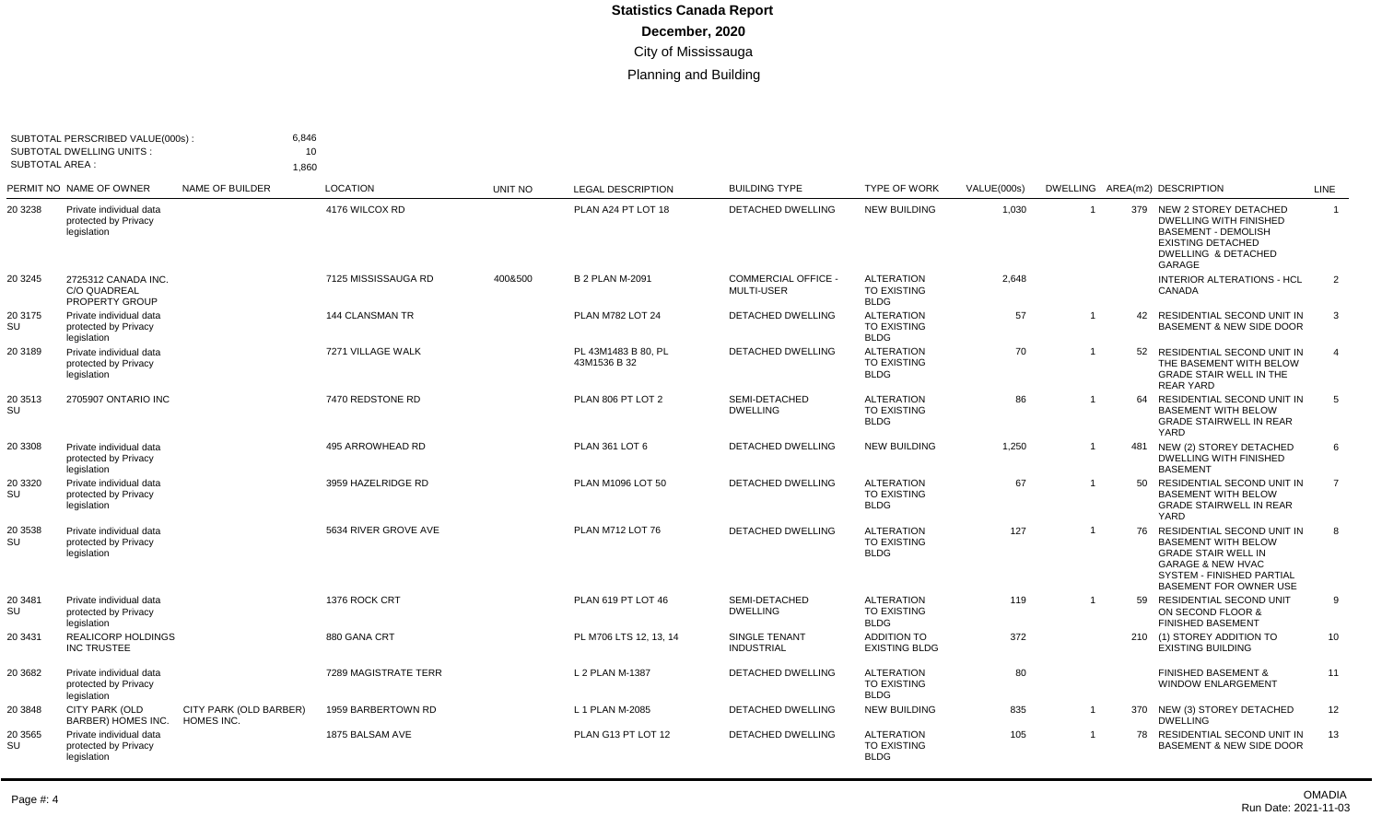| <b>SUBTOTAL AREA:</b> | SUBTOTAL PERSCRIBED VALUE(000s):<br><b>SUBTOTAL DWELLING UNITS:</b> | 6.846<br>1,860                       | 10                     |                |                                     |                                                 |                                                        |             |                         |     |                                                                                                                                                                                      |                |
|-----------------------|---------------------------------------------------------------------|--------------------------------------|------------------------|----------------|-------------------------------------|-------------------------------------------------|--------------------------------------------------------|-------------|-------------------------|-----|--------------------------------------------------------------------------------------------------------------------------------------------------------------------------------------|----------------|
|                       | PERMIT NO NAME OF OWNER                                             | NAME OF BUILDER                      | <b>LOCATION</b>        | <b>UNIT NO</b> | <b>LEGAL DESCRIPTION</b>            | <b>BUILDING TYPE</b>                            | <b>TYPE OF WORK</b>                                    | VALUE(000s) |                         |     | DWELLING AREA(m2) DESCRIPTION                                                                                                                                                        | <b>LINE</b>    |
| 20 3238               | Private individual data<br>protected by Privacy<br>legislation      |                                      | 4176 WILCOX RD         |                | PLAN A24 PT LOT 18                  | <b>DETACHED DWELLING</b>                        | <b>NEW BUILDING</b>                                    | 1,030       | $\overline{\mathbf{1}}$ |     | 379 NEW 2 STOREY DETACHED<br><b>DWELLING WITH FINISHED</b><br><b>BASEMENT - DEMOLISH</b><br><b>EXISTING DETACHED</b><br><b>DWELLING &amp; DETACHED</b><br>GARAGE                     | $\overline{1}$ |
| 20 3245               | 2725312 CANADA INC.<br><b>C/O QUADREAL</b><br><b>PROPERTY GROUP</b> |                                      | 7125 MISSISSAUGA RD    | 400&500        | <b>B 2 PLAN M-2091</b>              | <b>COMMERCIAL OFFICE -</b><br><b>MULTI-USER</b> | <b>ALTERATION</b><br><b>TO EXISTING</b><br><b>BLDG</b> | 2,648       |                         |     | <b>INTERIOR ALTERATIONS - HCL</b><br>CANADA                                                                                                                                          | 2              |
| 20 3175<br>SU         | Private individual data<br>protected by Privacy<br>legislation      |                                      | <b>144 CLANSMAN TR</b> |                | <b>PLAN M782 LOT 24</b>             | <b>DETACHED DWELLING</b>                        | <b>ALTERATION</b><br>TO EXISTING<br><b>BLDG</b>        | 57          | -1                      | 42  | RESIDENTIAL SECOND UNIT IN<br><b>BASEMENT &amp; NEW SIDE DOOR</b>                                                                                                                    | 3              |
| 20 3189               | Private individual data<br>protected by Privacy<br>legislation      |                                      | 7271 VILLAGE WALK      |                | PL 43M1483 B 80, PL<br>43M1536 B 32 | <b>DETACHED DWELLING</b>                        | <b>ALTERATION</b><br><b>TO EXISTING</b><br><b>BLDG</b> | 70          | $\overline{1}$          | 52  | RESIDENTIAL SECOND UNIT IN<br>THE BASEMENT WITH BELOW<br><b>GRADE STAIR WELL IN THE</b><br><b>REAR YARD</b>                                                                          | $\overline{4}$ |
| 20 3513<br>SU         | 2705907 ONTARIO INC                                                 |                                      | 7470 REDSTONE RD       |                | PLAN 806 PT LOT 2                   | SEMI-DETACHED<br><b>DWELLING</b>                | <b>ALTERATION</b><br><b>TO EXISTING</b><br><b>BLDG</b> | 86          | $\overline{1}$          |     | 64 RESIDENTIAL SECOND UNIT IN<br><b>BASEMENT WITH BELOW</b><br><b>GRADE STAIRWELL IN REAR</b><br>YARD                                                                                | -5             |
| 20 3308               | Private individual data<br>protected by Privacy<br>legislation      |                                      | 495 ARROWHEAD RD       |                | PLAN 361 LOT 6                      | <b>DETACHED DWELLING</b>                        | <b>NEW BUILDING</b>                                    | 1,250       | $\overline{1}$          | 481 | NEW (2) STOREY DETACHED<br><b>DWELLING WITH FINISHED</b><br><b>BASEMENT</b>                                                                                                          | 6              |
| 20 3320<br>SU         | Private individual data<br>protected by Privacy<br>legislation      |                                      | 3959 HAZELRIDGE RD     |                | PLAN M1096 LOT 50                   | DETACHED DWELLING                               | <b>ALTERATION</b><br><b>TO EXISTING</b><br><b>BLDG</b> | 67          | $\overline{1}$          | 50  | RESIDENTIAL SECOND UNIT IN<br><b>BASEMENT WITH BELOW</b><br><b>GRADE STAIRWELL IN REAR</b><br>YARD                                                                                   | $\overline{7}$ |
| 20 3538<br>SU         | Private individual data<br>protected by Privacy<br>legislation      |                                      | 5634 RIVER GROVE AVE   |                | <b>PLAN M712 LOT 76</b>             | <b>DETACHED DWELLING</b>                        | <b>ALTERATION</b><br><b>TO EXISTING</b><br><b>BLDG</b> | 127         | $\overline{1}$          | 76  | RESIDENTIAL SECOND UNIT IN<br><b>BASEMENT WITH BELOW</b><br><b>GRADE STAIR WELL IN</b><br><b>GARAGE &amp; NEW HVAC</b><br>SYSTEM - FINISHED PARTIAL<br><b>BASEMENT FOR OWNER USE</b> | 8              |
| 20 3481<br>SU         | Private individual data<br>protected by Privacy<br>legislation      |                                      | 1376 ROCK CRT          |                | PLAN 619 PT LOT 46                  | SEMI-DETACHED<br><b>DWELLING</b>                | <b>ALTERATION</b><br><b>TO EXISTING</b><br><b>BLDG</b> | 119         | $\overline{1}$          | 59  | RESIDENTIAL SECOND UNIT<br>ON SECOND FLOOR &<br><b>FINISHED BASEMENT</b>                                                                                                             | 9              |
| 20 3431               | <b>REALICORP HOLDINGS</b><br><b>INC TRUSTEE</b>                     |                                      | 880 GANA CRT           |                | PL M706 LTS 12, 13, 14              | SINGLE TENANT<br><b>INDUSTRIAL</b>              | <b>ADDITION TO</b><br><b>EXISTING BLDG</b>             | 372         |                         |     | 210 (1) STOREY ADDITION TO<br><b>EXISTING BUILDING</b>                                                                                                                               | 10             |
| 20 3682               | Private individual data<br>protected by Privacy<br>legislation      |                                      | 7289 MAGISTRATE TERR   |                | L 2 PLAN M-1387                     | DETACHED DWELLING                               | <b>ALTERATION</b><br>TO EXISTING<br><b>BLDG</b>        | 80          |                         |     | <b>FINISHED BASEMENT &amp;</b><br>WINDOW ENLARGEMENT                                                                                                                                 | 11             |
| 20 3848               | <b>CITY PARK (OLD</b><br>BARBER) HOMES INC.                         | CITY PARK (OLD BARBER)<br>HOMES INC. | 1959 BARBERTOWN RD     |                | L 1 PLAN M-2085                     | DETACHED DWELLING                               | <b>NEW BUILDING</b>                                    | 835         | $\overline{1}$          |     | 370 NEW (3) STOREY DETACHED<br><b>DWELLING</b>                                                                                                                                       | 12             |
| 20 3565<br>SU         | Private individual data<br>protected by Privacy<br>legislation      |                                      | 1875 BALSAM AVE        |                | PLAN G13 PT LOT 12                  | DETACHED DWELLING                               | <b>ALTERATION</b><br><b>TO EXISTING</b><br><b>BLDG</b> | 105         | $\overline{1}$          |     | 78 RESIDENTIAL SECOND UNIT IN<br><b>BASEMENT &amp; NEW SIDE DOOR</b>                                                                                                                 | 13             |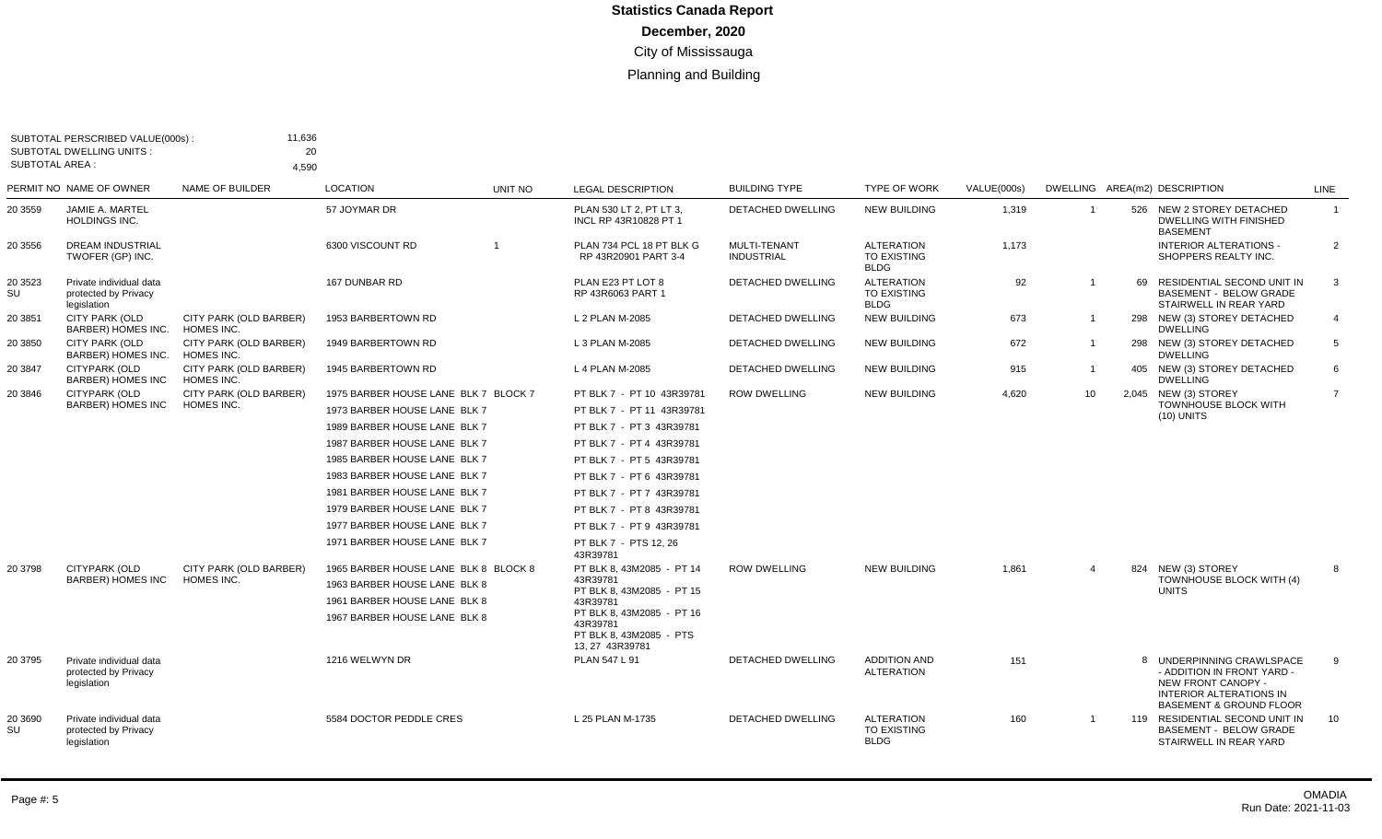| <b>SUBTOTAL AREA:</b>                                                                                | 4,590                                                                        |                                                                                                                                                                                                                                                                      |         |                                                                                                                                                                                                                                                                                                                                                                                                                |                                                      |                                                               |                                   |                                   |    |                                                                                          |                                                                                                                                                                                                                                                            |
|------------------------------------------------------------------------------------------------------|------------------------------------------------------------------------------|----------------------------------------------------------------------------------------------------------------------------------------------------------------------------------------------------------------------------------------------------------------------|---------|----------------------------------------------------------------------------------------------------------------------------------------------------------------------------------------------------------------------------------------------------------------------------------------------------------------------------------------------------------------------------------------------------------------|------------------------------------------------------|---------------------------------------------------------------|-----------------------------------|-----------------------------------|----|------------------------------------------------------------------------------------------|------------------------------------------------------------------------------------------------------------------------------------------------------------------------------------------------------------------------------------------------------------|
| PERMIT NO NAME OF OWNER                                                                              | <b>NAME OF BUILDER</b>                                                       | <b>LOCATION</b>                                                                                                                                                                                                                                                      | UNIT NO | <b>LEGAL DESCRIPTION</b>                                                                                                                                                                                                                                                                                                                                                                                       | <b>BUILDING TYPE</b>                                 | <b>TYPE OF WORK</b>                                           | VALUE(000s)                       |                                   |    | DWELLING AREA(m2) DESCRIPTION                                                            | <b>LINE</b>                                                                                                                                                                                                                                                |
| JAMIE A. MARTEL<br>HOLDINGS INC.                                                                     |                                                                              | 57 JOYMAR DR                                                                                                                                                                                                                                                         |         | PLAN 530 LT 2, PT LT 3,<br>INCL RP 43R10828 PT 1                                                                                                                                                                                                                                                                                                                                                               | DETACHED DWELLING                                    | <b>NEW BUILDING</b>                                           | 1,319                             | $\mathbf{1}$                      |    | 526 NEW 2 STOREY DETACHED<br><b>DWELLING WITH FINISHED</b><br><b>BASEMENT</b>            | $\mathbf{1}$                                                                                                                                                                                                                                               |
| <b>DREAM INDUSTRIAL</b><br>TWOFER (GP) INC.                                                          |                                                                              | 6300 VISCOUNT RD                                                                                                                                                                                                                                                     |         | PLAN 734 PCL 18 PT BLK G<br>RP 43R20901 PART 3-4                                                                                                                                                                                                                                                                                                                                                               | MULTI-TENANT<br><b>INDUSTRIAL</b>                    | <b>ALTERATION</b><br><b>TO EXISTING</b><br><b>BLDG</b>        | 1,173                             |                                   |    | <b>INTERIOR ALTERATIONS -</b><br>SHOPPERS REALTY INC.                                    | $\overline{2}$                                                                                                                                                                                                                                             |
| Private individual data<br>protected by Privacy<br>legislation                                       |                                                                              | 167 DUNBAR RD                                                                                                                                                                                                                                                        |         | PLAN E23 PT LOT 8<br>RP 43R6063 PART 1                                                                                                                                                                                                                                                                                                                                                                         | DETACHED DWELLING                                    | <b>ALTERATION</b><br>TO EXISTING<br><b>BLDG</b>               | 92                                |                                   | 69 | RESIDENTIAL SECOND UNIT IN<br><b>BASEMENT - BELOW GRADE</b><br>STAIRWELL IN REAR YARD    | 3                                                                                                                                                                                                                                                          |
| CITY PARK (OLD<br>BARBER) HOMES INC.                                                                 | CITY PARK (OLD BARBER)<br>HOMES INC.                                         | 1953 BARBERTOWN RD                                                                                                                                                                                                                                                   |         | L 2 PLAN M-2085                                                                                                                                                                                                                                                                                                                                                                                                | <b>DETACHED DWELLING</b>                             | <b>NEW BUILDING</b>                                           | 673                               | $\overline{1}$                    |    | 298 NEW (3) STOREY DETACHED<br><b>DWELLING</b>                                           | $\overline{4}$                                                                                                                                                                                                                                             |
| <b>CITY PARK (OLD</b><br>BARBER) HOMES INC.                                                          | CITY PARK (OLD BARBER)<br>HOMES INC.                                         | 1949 BARBERTOWN RD                                                                                                                                                                                                                                                   |         | L 3 PLAN M-2085                                                                                                                                                                                                                                                                                                                                                                                                | DETACHED DWELLING                                    | <b>NEW BUILDING</b>                                           | 672                               |                                   |    | 298 NEW (3) STOREY DETACHED<br><b>DWELLING</b>                                           | 5                                                                                                                                                                                                                                                          |
| CITYPARK (OLD<br><b>BARBER) HOMES INC</b>                                                            | CITY PARK (OLD BARBER)<br>HOMES INC.                                         | 1945 BARBERTOWN RD                                                                                                                                                                                                                                                   |         | L 4 PLAN M-2085                                                                                                                                                                                                                                                                                                                                                                                                | <b>DETACHED DWELLING</b>                             | <b>NEW BUILDING</b>                                           | 915                               |                                   |    | 405 NEW (3) STOREY DETACHED<br><b>DWELLING</b>                                           | 6                                                                                                                                                                                                                                                          |
| <b>CITYPARK (OLD</b><br><b>BARBER) HOMES INC</b><br><b>CITYPARK (OLD</b><br><b>BARBER) HOMES INC</b> | CITY PARK (OLD BARBER)<br>HOMES INC.<br>CITY PARK (OLD BARBER)<br>HOMES INC. | 1975 BARBER HOUSE LANE BLK 7 BLOCK 7<br>1973 BARBER HOUSE LANE BLK 7<br>1989 BARBER HOUSE LANE BLK 7<br>1987 BARBER HOUSE LANE BLK 7<br>1985 BARBER HOUSE LANE BLK 7<br>1983 BARBER HOUSE LANE BLK 7<br>1981 BARBER HOUSE LANE BLK 7<br>1979 BARBER HOUSE LANE BLK 7 |         | PT BLK 7 - PT 10 43R39781<br>PT BLK 7 - PT 11 43R39781<br>PT BLK 7 - PT 3 43R39781<br>PT BLK 7 - PT 4 43R39781<br>PT BLK 7 - PT 5 43R39781<br>PT BLK 7 - PT 6 43R39781<br>PT BLK 7 - PT 7 43R39781<br>PT BLK 7 - PT 8 43R39781<br>PT BLK 7 - PT 9 43R39781<br>PT BLK 7 - PTS 12, 26<br>43R39781<br>PT BLK 8, 43M2085 - PT 14<br>43R39781<br>PT BLK 8, 43M2085 - PT 15<br>43R39781<br>PT BLK 8, 43M2085 - PT 16 | <b>ROW DWELLING</b><br><b>ROW DWELLING</b>           | <b>NEW BUILDING</b><br><b>NEW BUILDING</b>                    | 4,620<br>1,861                    | 10 <sup>°</sup><br>$\overline{4}$ |    | 2,045 NEW (3) STOREY<br>TOWNHOUSE BLOCK WITH<br>$(10)$ UNITS<br>TOWNHOUSE BLOCK WITH (4) | $\overline{7}$<br>8                                                                                                                                                                                                                                        |
| Private individual data<br>protected by Privacy<br>legislation<br>Private individual data            |                                                                              | 1216 WELWYN DR<br>5584 DOCTOR PEDDLE CRES                                                                                                                                                                                                                            |         | PT BLK 8, 43M2085 - PTS<br>13, 27 43R39781<br>PLAN 547 L 91<br>L 25 PLAN M-1735                                                                                                                                                                                                                                                                                                                                | <b>DETACHED DWELLING</b><br><b>DETACHED DWELLING</b> | <b>ADDITION AND</b><br><b>ALTERATION</b><br><b>ALTERATION</b> | 151<br>160                        |                                   |    | - ADDITION IN FRONT YARD -                                                               | 9<br>10                                                                                                                                                                                                                                                    |
|                                                                                                      | protected by Privacy<br>legislation                                          |                                                                                                                                                                                                                                                                      |         | 1977 BARBER HOUSE LANE BLK 7<br>1971 BARBER HOUSE LANE BLK 7<br>1965 BARBER HOUSE LANE BLK 8 BLOCK 8<br>1963 BARBER HOUSE LANE BLK 8<br>1961 BARBER HOUSE LANE BLK 8<br>1967 BARBER HOUSE LANE BLK 8                                                                                                                                                                                                           | 43R39781                                             |                                                               | <b>TO EXISTING</b><br><b>BLDG</b> |                                   |    |                                                                                          | 824 NEW (3) STOREY<br><b>UNITS</b><br>8 UNDERPINNING CRAWLSPACE<br>NEW FRONT CANOPY -<br><b>INTERIOR ALTERATIONS IN</b><br><b>BASEMENT &amp; GROUND FLOOR</b><br>119 RESIDENTIAL SECOND UNIT IN<br><b>BASEMENT - BELOW GRADE</b><br>STAIRWELL IN REAR YARD |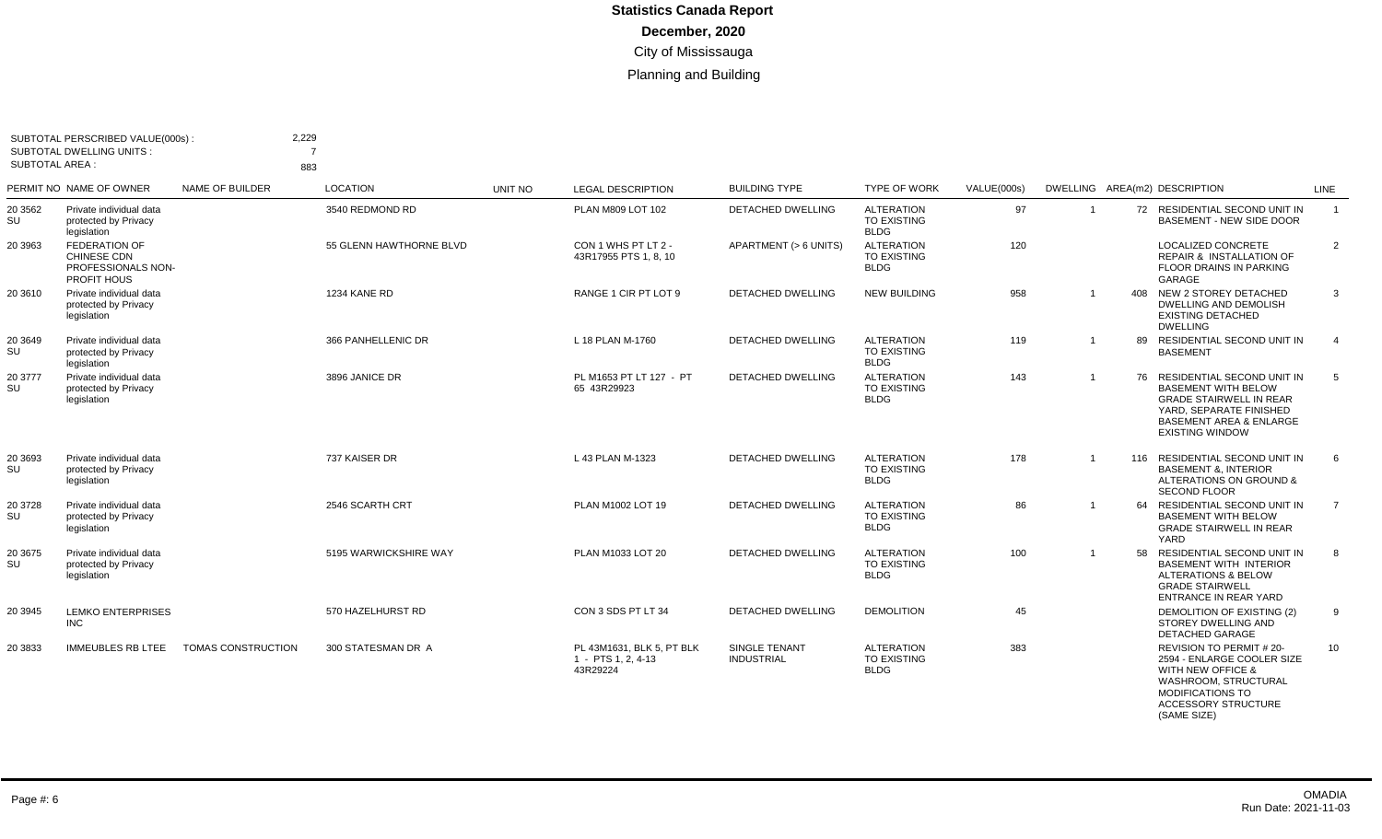| SUBTOTAL AREA : | SUBTOTAL PERSCRIBED VALUE(000s):<br><b>SUBTOTAL DWELLING UNITS:</b>                    |                           | 2,229<br>883            |         |                                                             |                                    |                                                        |             |                |                                                                                                                                                                                          |                |
|-----------------|----------------------------------------------------------------------------------------|---------------------------|-------------------------|---------|-------------------------------------------------------------|------------------------------------|--------------------------------------------------------|-------------|----------------|------------------------------------------------------------------------------------------------------------------------------------------------------------------------------------------|----------------|
|                 | PERMIT NO NAME OF OWNER                                                                | NAME OF BUILDER           | <b>LOCATION</b>         | UNIT NO | <b>LEGAL DESCRIPTION</b>                                    | <b>BUILDING TYPE</b>               | <b>TYPE OF WORK</b>                                    | VALUE(000s) |                | DWELLING AREA(m2) DESCRIPTION                                                                                                                                                            | LINE           |
| 20 35 62<br>SU  | Private individual data<br>protected by Privacy<br>legislation                         |                           | 3540 REDMOND RD         |         | PLAN M809 LOT 102                                           | DETACHED DWELLING                  | <b>ALTERATION</b><br><b>TO EXISTING</b><br><b>BLDG</b> | 97          | $\overline{1}$ | 72 RESIDENTIAL SECOND UNIT IN<br><b>BASEMENT - NEW SIDE DOOR</b>                                                                                                                         | $\overline{1}$ |
| 20 39 63        | <b>FEDERATION OF</b><br><b>CHINESE CDN</b><br>PROFESSIONALS NON-<br><b>PROFIT HOUS</b> |                           | 55 GLENN HAWTHORNE BLVD |         | CON 1 WHS PT LT 2 -<br>43R17955 PTS 1, 8, 10                | APARTMENT (> 6 UNITS)              | <b>ALTERATION</b><br><b>TO EXISTING</b><br><b>BLDG</b> | 120         |                | <b>LOCALIZED CONCRETE</b><br><b>REPAIR &amp; INSTALLATION OF</b><br><b>FLOOR DRAINS IN PARKING</b><br>GARAGE                                                                             | 2              |
| 20 36 10        | Private individual data<br>protected by Privacy<br>legislation                         |                           | <b>1234 KANE RD</b>     |         | RANGE 1 CIR PT LOT 9                                        | <b>DETACHED DWELLING</b>           | <b>NEW BUILDING</b>                                    | 958         |                | 408<br>NEW 2 STOREY DETACHED<br>DWELLING AND DEMOLISH<br><b>EXISTING DETACHED</b><br><b>DWELLING</b>                                                                                     | 3              |
| 20 3649<br>SU   | Private individual data<br>protected by Privacy<br>legislation                         |                           | 366 PANHELLENIC DR      |         | L 18 PLAN M-1760                                            | <b>DETACHED DWELLING</b>           | <b>ALTERATION</b><br><b>TO EXISTING</b><br><b>BLDG</b> | 119         |                | RESIDENTIAL SECOND UNIT IN<br>89<br><b>BASEMENT</b>                                                                                                                                      | $\overline{4}$ |
| 20 3777<br>SU   | Private individual data<br>protected by Privacy<br>legislation                         |                           | 3896 JANICE DR          |         | PL M1653 PT LT 127 - PT<br>65 43R29923                      | <b>DETACHED DWELLING</b>           | <b>ALTERATION</b><br><b>TO EXISTING</b><br><b>BLDG</b> | 143         |                | 76 RESIDENTIAL SECOND UNIT IN<br><b>BASEMENT WITH BELOW</b><br><b>GRADE STAIRWELL IN REAR</b><br>YARD, SEPARATE FINISHED<br><b>BASEMENT AREA &amp; ENLARGE</b><br><b>EXISTING WINDOW</b> | -5             |
| 20 3693<br>SU   | Private individual data<br>protected by Privacy<br>legislation                         |                           | 737 KAISER DR           |         | L 43 PLAN M-1323                                            | DETACHED DWELLING                  | <b>ALTERATION</b><br><b>TO EXISTING</b><br><b>BLDG</b> | 178         |                | 116 RESIDENTIAL SECOND UNIT IN<br><b>BASEMENT &amp;, INTERIOR</b><br>ALTERATIONS ON GROUND &<br><b>SECOND FLOOR</b>                                                                      | - 6            |
| 20 37 28<br>SU  | Private individual data<br>protected by Privacy<br>legislation                         |                           | 2546 SCARTH CRT         |         | PLAN M1002 LOT 19                                           | <b>DETACHED DWELLING</b>           | <b>ALTERATION</b><br><b>TO EXISTING</b><br><b>BLDG</b> | 86          |                | RESIDENTIAL SECOND UNIT IN<br>64<br><b>BASEMENT WITH BELOW</b><br><b>GRADE STAIRWELL IN REAR</b><br>YARD                                                                                 | $\overline{7}$ |
| 20 3675<br>SU   | Private individual data<br>protected by Privacy<br>legislation                         |                           | 5195 WARWICKSHIRE WAY   |         | PLAN M1033 LOT 20                                           | <b>DETACHED DWELLING</b>           | <b>ALTERATION</b><br><b>TO EXISTING</b><br><b>BLDG</b> | 100         |                | 58<br>RESIDENTIAL SECOND UNIT IN<br><b>BASEMENT WITH INTERIOR</b><br><b>ALTERATIONS &amp; BELOW</b><br><b>GRADE STAIRWELL</b><br><b>ENTRANCE IN REAR YARD</b>                            | 8              |
| 20 3945         | <b>LEMKO ENTERPRISES</b><br><b>INC</b>                                                 |                           | 570 HAZELHURST RD       |         | CON 3 SDS PT LT 34                                          | DETACHED DWELLING                  | <b>DEMOLITION</b>                                      | 45          |                | DEMOLITION OF EXISTING (2)<br>STOREY DWELLING AND<br><b>DETACHED GARAGE</b>                                                                                                              | 9              |
| 20 3833         | <b>IMMEUBLES RB LTEE</b>                                                               | <b>TOMAS CONSTRUCTION</b> | 300 STATESMAN DR A      |         | PL 43M1631, BLK 5, PT BLK<br>1 - PTS 1, 2, 4-13<br>43R29224 | SINGLE TENANT<br><b>INDUSTRIAL</b> | <b>ALTERATION</b><br><b>TO EXISTING</b><br><b>BLDG</b> | 383         |                | <b>REVISION TO PERMIT #20-</b><br>2594 - ENLARGE COOLER SIZE<br><b>WITH NEW OFFICE &amp;</b><br>WASHROOM, STRUCTURAL<br>MODIFICATIONS TO<br><b>ACCESSORY STRUCTURE</b><br>(SAME SIZE)    | 10             |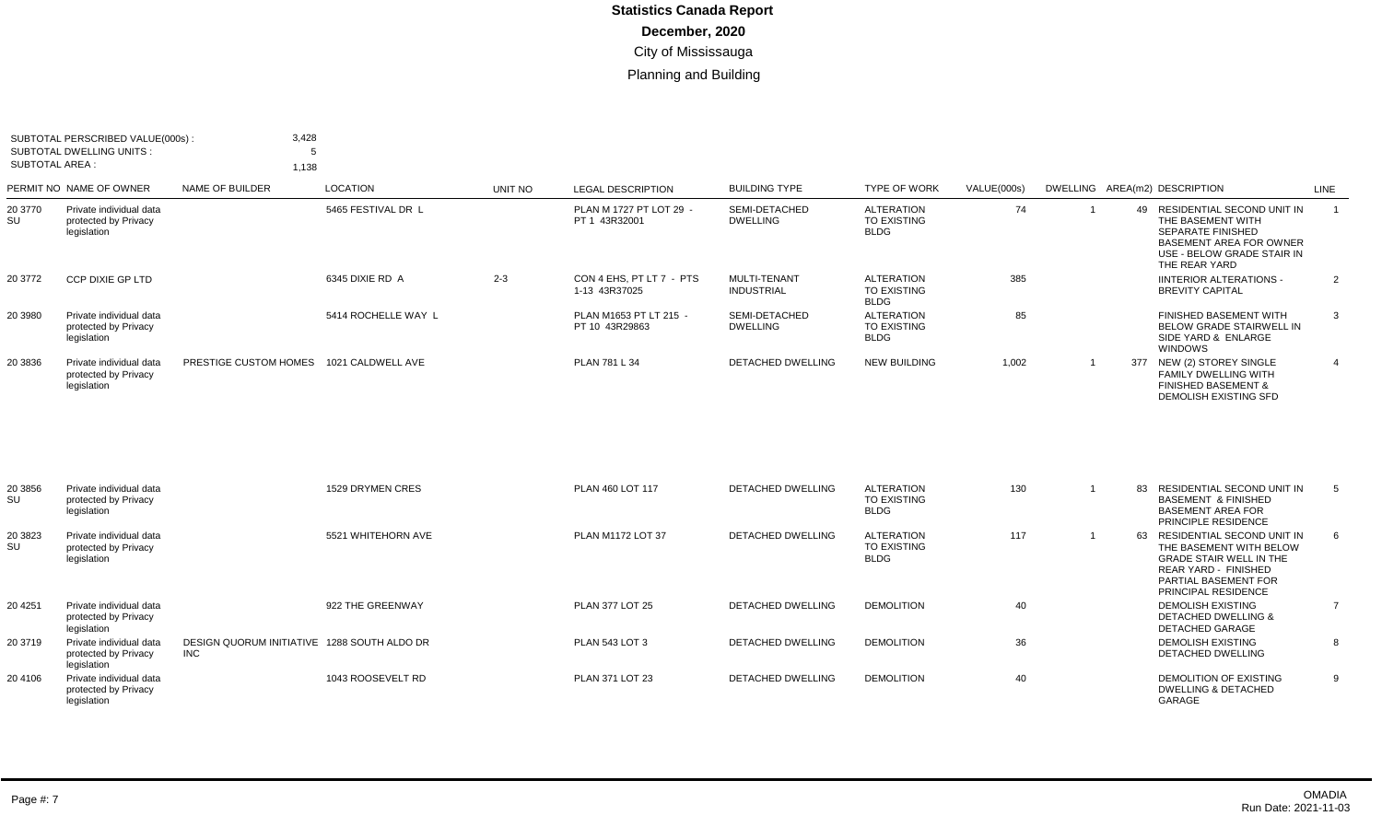| SUBTOTAL AREA : | SUBTOTAL PERSCRIBED VALUE(000s):<br>SUBTOTAL DWELLING UNITS:   | 3,428<br>1,138                          |                     |         |                                           |                                   |                                                 |             |                                                                                                                                                                     |      |
|-----------------|----------------------------------------------------------------|-----------------------------------------|---------------------|---------|-------------------------------------------|-----------------------------------|-------------------------------------------------|-------------|---------------------------------------------------------------------------------------------------------------------------------------------------------------------|------|
|                 | PERMIT NO NAME OF OWNER                                        | NAME OF BUILDER                         | LOCATION            | UNIT NO | <b>LEGAL DESCRIPTION</b>                  | <b>BUILDING TYPE</b>              | <b>TYPE OF WORK</b>                             | VALUE(000s) | DWELLING AREA(m2) DESCRIPTION                                                                                                                                       | LINE |
| 20 3770<br>SU   | Private individual data<br>protected by Privacy<br>legislation |                                         | 5465 FESTIVAL DR L  |         | PLAN M 1727 PT LOT 29 -<br>PT 1 43R32001  | SEMI-DETACHED<br><b>DWELLING</b>  | <b>ALTERATION</b><br>TO EXISTING<br><b>BLDG</b> | 74          | RESIDENTIAL SECOND UNIT IN<br>49.<br>THE BASEMENT WITH<br><b>SEPARATE FINISHED</b><br><b>BASEMENT AREA FOR OWNER</b><br>USE - BELOW GRADE STAIR IN<br>THE REAR YARD |      |
| 20 3772         | <b>CCP DIXIE GP LTD</b>                                        |                                         | 6345 DIXIE RD A     | $2 - 3$ | CON 4 EHS, PT LT 7 - PTS<br>1-13 43R37025 | MULTI-TENANT<br><b>INDUSTRIAL</b> | <b>ALTERATION</b><br>TO EXISTING<br><b>BLDG</b> | 385         | <b>IINTERIOR ALTERATIONS -</b><br><b>BREVITY CAPITAL</b>                                                                                                            | 2    |
| 20 3980         | Private individual data<br>protected by Privacy<br>legislation |                                         | 5414 ROCHELLE WAY L |         | PLAN M1653 PT LT 215 -<br>PT 10 43R29863  | SEMI-DETACHED<br><b>DWELLING</b>  | <b>ALTERATION</b><br>TO EXISTING<br><b>BLDG</b> | 85          | FINISHED BASEMENT WITH<br>BELOW GRADE STAIRWELL IN<br>SIDE YARD & ENLARGE<br>WINDOWS                                                                                | 3    |
| 20 3836         | Private individual data<br>protected by Privacy<br>legislation | PRESTIGE CUSTOM HOMES 1021 CALDWELL AVE |                     |         | PLAN 781 L 34                             | <b>DETACHED DWELLING</b>          | <b>NEW BUILDING</b>                             | 1,002       | 377 NEW (2) STOREY SINGLE<br><b>FAMILY DWELLING WITH</b><br><b>FINISHED BASEMENT &amp;</b><br><b>DEMOLISH EXISTING SFD</b>                                          |      |

| 20 3856<br>SU | Private individual data<br>protected by Privacy<br>legislation |                                                     | 1529 DRYMEN CRES   | PLAN 460 LOT 117       | <b>DETACHED DWELLING</b> | ALTERATION<br>TO EXISTING<br><b>BLDG</b>               | 130 | 83<br>RESIDENTIAL SECOND UNIT IN<br><b>BASEMENT &amp; FINISHED</b><br><b>BASEMENT AREA FOR</b><br>PRINCIPLE RESIDENCE                                                       | 5 |
|---------------|----------------------------------------------------------------|-----------------------------------------------------|--------------------|------------------------|--------------------------|--------------------------------------------------------|-----|-----------------------------------------------------------------------------------------------------------------------------------------------------------------------------|---|
| 20 3823<br>SU | Private individual data<br>protected by Privacy<br>legislation |                                                     | 5521 WHITEHORN AVE | PLAN M1172 LOT 37      | <b>DETACHED DWELLING</b> | <b>ALTERATION</b><br><b>TO EXISTING</b><br><b>BLDG</b> | 117 | RESIDENTIAL SECOND UNIT IN<br>63<br>THE BASEMENT WITH BELOW<br><b>GRADE STAIR WELL IN THE</b><br><b>REAR YARD - FINISHED</b><br>PARTIAL BASEMENT FOR<br>PRINCIPAL RESIDENCE | 6 |
| 20 4 251      | Private individual data<br>protected by Privacy<br>legislation |                                                     | 922 THE GREENWAY   | <b>PLAN 377 LOT 25</b> | <b>DETACHED DWELLING</b> | <b>DEMOLITION</b>                                      | 40  | <b>DEMOLISH EXISTING</b><br><b>DETACHED DWELLING &amp;</b><br><b>DETACHED GARAGE</b>                                                                                        |   |
| 20 3719       | Private individual data<br>protected by Privacy<br>legislation | DESIGN QUORUM INITIATIVE 1288 SOUTH ALDO DR<br>INC. |                    | <b>PLAN 543 LOT 3</b>  | DETACHED DWELLING        | <b>DEMOLITION</b>                                      | 36  | <b>DEMOLISH EXISTING</b><br><b>DETACHED DWELLING</b>                                                                                                                        | 8 |
| 20 4106       | Private individual data<br>protected by Privacy<br>legislation |                                                     | 1043 ROOSEVELT RD  | PLAN 371 LOT 23        | <b>DETACHED DWELLING</b> | <b>DEMOLITION</b>                                      | 40  | DEMOLITION OF EXISTING<br><b>DWELLING &amp; DETACHED</b><br>GARAGE                                                                                                          | 9 |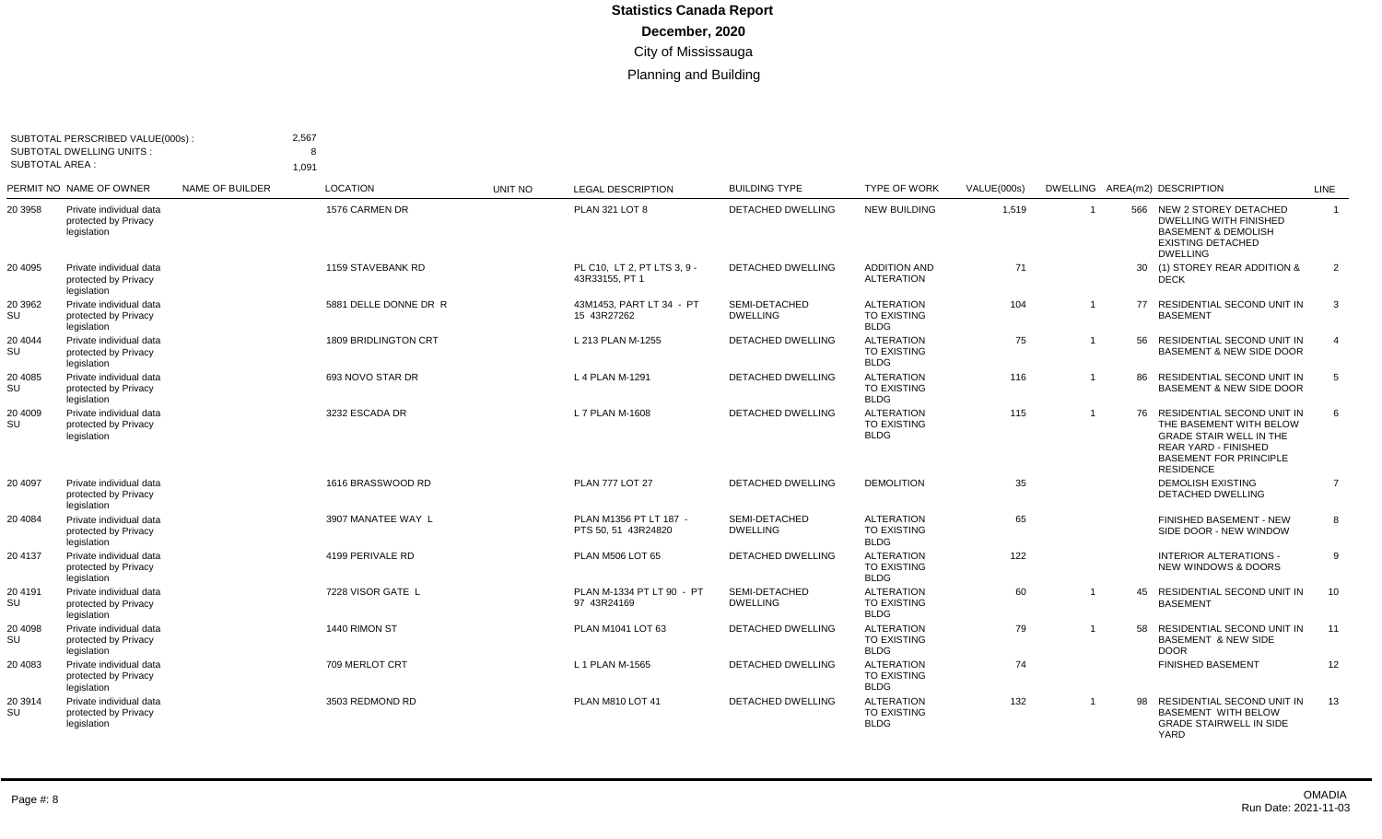| <b>SUBTOTAL AREA:</b> | SUBTOTAL PERSCRIBED VALUE(000s):<br><b>SUBTOTAL DWELLING UNITS:</b> |                 | 2,567<br>1,091              |         |                                               |                                  |                                                        |             |                |    |                                                                                                                                                                             |                |
|-----------------------|---------------------------------------------------------------------|-----------------|-----------------------------|---------|-----------------------------------------------|----------------------------------|--------------------------------------------------------|-------------|----------------|----|-----------------------------------------------------------------------------------------------------------------------------------------------------------------------------|----------------|
|                       | PERMIT NO NAME OF OWNER                                             | NAME OF BUILDER | <b>LOCATION</b>             | UNIT NO | <b>LEGAL DESCRIPTION</b>                      | <b>BUILDING TYPE</b>             | <b>TYPE OF WORK</b>                                    | VALUE(000s) |                |    | DWELLING AREA(m2) DESCRIPTION                                                                                                                                               | LINE           |
| 20 3958               | Private individual data<br>protected by Privacy<br>legislation      |                 | 1576 CARMEN DR              |         | PLAN 321 LOT 8                                | <b>DETACHED DWELLING</b>         | <b>NEW BUILDING</b>                                    | 1,519       |                |    | 566 NEW 2 STOREY DETACHED<br><b>DWELLING WITH FINISHED</b><br><b>BASEMENT &amp; DEMOLISH</b><br><b>EXISTING DETACHED</b><br><b>DWELLING</b>                                 | $\overline{1}$ |
| 20 4095               | Private individual data<br>protected by Privacy<br>legislation      |                 | 1159 STAVEBANK RD           |         | PL C10. LT 2. PT LTS 3.9 -<br>43R33155. PT 1  | <b>DETACHED DWELLING</b>         | <b>ADDITION AND</b><br><b>ALTERATION</b>               | 71          |                | 30 | (1) STOREY REAR ADDITION &<br><b>DECK</b>                                                                                                                                   | $\overline{2}$ |
| 20 3962<br>SU         | Private individual data<br>protected by Privacy<br>legislation      |                 | 5881 DELLE DONNE DR R       |         | 43M1453, PART LT 34 - PT<br>15 43R27262       | SEMI-DETACHED<br><b>DWELLING</b> | <b>ALTERATION</b><br><b>TO EXISTING</b><br><b>BLDG</b> | 104         | $\overline{1}$ | 77 | RESIDENTIAL SECOND UNIT IN<br><b>BASEMENT</b>                                                                                                                               | 3              |
| 20 4044<br>SU         | Private individual data<br>protected by Privacy<br>legislation      |                 | <b>1809 BRIDLINGTON CRT</b> |         | L 213 PLAN M-1255                             | DETACHED DWELLING                | <b>ALTERATION</b><br><b>TO EXISTING</b><br><b>BLDG</b> | 75          | - 1            | 56 | RESIDENTIAL SECOND UNIT IN<br><b>BASEMENT &amp; NEW SIDE DOOR</b>                                                                                                           | $\overline{4}$ |
| 20 4085<br>SU         | Private individual data<br>protected by Privacy<br>legislation      |                 | 693 NOVO STAR DR            |         | L 4 PLAN M-1291                               | <b>DETACHED DWELLING</b>         | <b>ALTERATION</b><br><b>TO EXISTING</b><br><b>BLDG</b> | 116         | - 1            | 86 | RESIDENTIAL SECOND UNIT IN<br><b>BASEMENT &amp; NEW SIDE DOOR</b>                                                                                                           | 5              |
| 20 4009<br>SU         | Private individual data<br>protected by Privacy<br>legislation      |                 | 3232 ESCADA DR              |         | L 7 PLAN M-1608                               | DETACHED DWELLING                | <b>ALTERATION</b><br><b>TO EXISTING</b><br><b>BLDG</b> | 115         |                | 76 | RESIDENTIAL SECOND UNIT IN<br>THE BASEMENT WITH BELOW<br><b>GRADE STAIR WELL IN THE</b><br><b>REAR YARD - FINISHED</b><br><b>BASEMENT FOR PRINCIPLE</b><br><b>RESIDENCE</b> | 6              |
| 20 4097               | Private individual data<br>protected by Privacy<br>legislation      |                 | 1616 BRASSWOOD RD           |         | <b>PLAN 777 LOT 27</b>                        | <b>DETACHED DWELLING</b>         | <b>DEMOLITION</b>                                      | 35          |                |    | <b>DEMOLISH EXISTING</b><br><b>DETACHED DWELLING</b>                                                                                                                        | $\overline{7}$ |
| 20 4084               | Private individual data<br>protected by Privacy<br>legislation      |                 | 3907 MANATEE WAY L          |         | PLAN M1356 PT LT 187 -<br>PTS 50, 51 43R24820 | SEMI-DETACHED<br><b>DWELLING</b> | <b>ALTERATION</b><br><b>TO EXISTING</b><br><b>BLDG</b> | 65          |                |    | FINISHED BASEMENT - NEW<br>SIDE DOOR - NEW WINDOW                                                                                                                           | 8              |
| 20 4137               | Private individual data<br>protected by Privacy<br>legislation      |                 | 4199 PERIVALE RD            |         | PLAN M506 LOT 65                              | DETACHED DWELLING                | <b>ALTERATION</b><br><b>TO EXISTING</b><br><b>BLDG</b> | 122         |                |    | <b>INTERIOR ALTERATIONS -</b><br><b>NEW WINDOWS &amp; DOORS</b>                                                                                                             | 9              |
| 20 4191<br>SU         | Private individual data<br>protected by Privacy<br>legislation      |                 | 7228 VISOR GATE L           |         | PLAN M-1334 PT LT 90 - PT<br>97 43R24169      | SEMI-DETACHED<br><b>DWELLING</b> | <b>ALTERATION</b><br><b>TO EXISTING</b><br><b>BLDG</b> | 60          |                | 45 | RESIDENTIAL SECOND UNIT IN<br><b>BASEMENT</b>                                                                                                                               | 10             |
| 20 4098<br>SU         | Private individual data<br>protected by Privacy<br>legislation      |                 | 1440 RIMON ST               |         | PLAN M1041 LOT 63                             | DETACHED DWELLING                | <b>ALTERATION</b><br><b>TO EXISTING</b><br><b>BLDG</b> | 79          |                | 58 | RESIDENTIAL SECOND UNIT IN<br><b>BASEMENT &amp; NEW SIDE</b><br><b>DOOR</b>                                                                                                 | 11             |
| 20 4083               | Private individual data<br>protected by Privacy<br>legislation      |                 | 709 MERLOT CRT              |         | L 1 PLAN M-1565                               | DETACHED DWELLING                | <b>ALTERATION</b><br><b>TO EXISTING</b><br><b>BLDG</b> | 74          |                |    | <b>FINISHED BASEMENT</b>                                                                                                                                                    | 12             |
| 20 3914<br>SU         | Private individual data<br>protected by Privacy<br>legislation      |                 | 3503 REDMOND RD             |         | PLAN M810 LOT 41                              | <b>DETACHED DWELLING</b>         | <b>ALTERATION</b><br><b>TO EXISTING</b><br><b>BLDG</b> | 132         |                | 98 | RESIDENTIAL SECOND UNIT IN<br><b>BASEMENT WITH BELOW</b><br><b>GRADE STAIRWELL IN SIDE</b><br><b>YARD</b>                                                                   | 13             |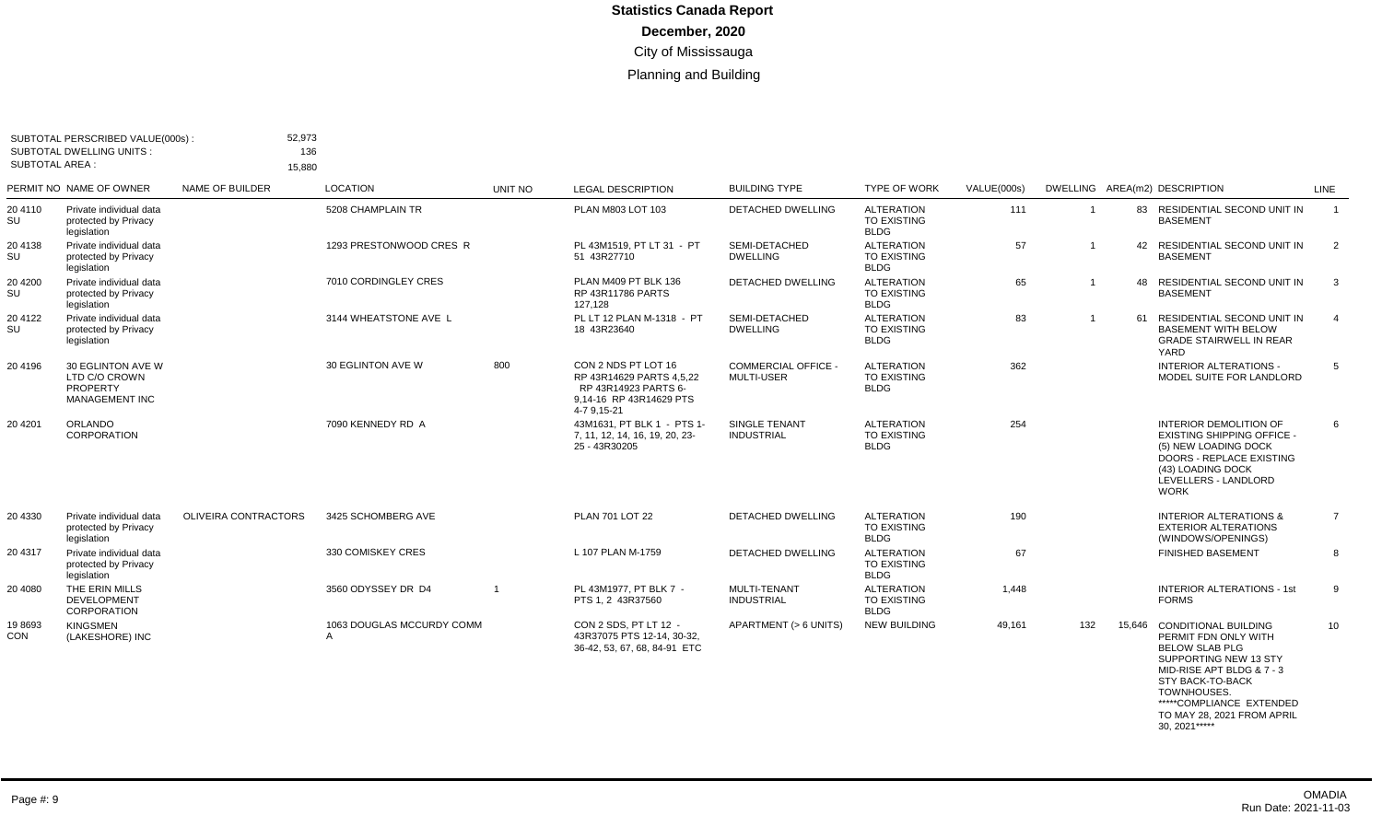| SUBTOTAL AREA :      | SUBTOTAL PERSCRIBED VALUE(000s):<br><b>SUBTOTAL DWELLING UNITS:</b>     | 52,973<br>15.880            | 136                            |                |                                                                                                                   |                                                 |                                                        |             |                |                                                                                                                                                                                                                                 |                         |
|----------------------|-------------------------------------------------------------------------|-----------------------------|--------------------------------|----------------|-------------------------------------------------------------------------------------------------------------------|-------------------------------------------------|--------------------------------------------------------|-------------|----------------|---------------------------------------------------------------------------------------------------------------------------------------------------------------------------------------------------------------------------------|-------------------------|
|                      | PERMIT NO NAME OF OWNER                                                 | NAME OF BUILDER             | <b>LOCATION</b>                | UNIT NO        | <b>LEGAL DESCRIPTION</b>                                                                                          | <b>BUILDING TYPE</b>                            | <b>TYPE OF WORK</b>                                    | VALUE(000s) |                | DWELLING AREA(m2) DESCRIPTION                                                                                                                                                                                                   | LINE                    |
| 20 4110<br>SU        | Private individual data<br>protected by Privacy<br>legislation          |                             | 5208 CHAMPLAIN TR              |                | PLAN M803 LOT 103                                                                                                 | <b>DETACHED DWELLING</b>                        | <b>ALTERATION</b><br><b>TO EXISTING</b><br><b>BLDG</b> | 111         | $\overline{1}$ | 83 RESIDENTIAL SECOND UNIT IN<br><b>BASEMENT</b>                                                                                                                                                                                | $\overline{1}$          |
| 20 4138<br>SU        | Private individual data<br>protected by Privacy<br>legislation          |                             | 1293 PRESTONWOOD CRES R        |                | PL 43M1519. PT LT 31 - PT<br>51 43R27710                                                                          | SEMI-DETACHED<br><b>DWELLING</b>                | <b>ALTERATION</b><br><b>TO EXISTING</b><br><b>BLDG</b> | 57          | $\overline{1}$ | 42 RESIDENTIAL SECOND UNIT IN<br><b>BASEMENT</b>                                                                                                                                                                                | $\overline{2}$          |
| 20 4 200<br>SU       | Private individual data<br>protected by Privacy<br>legislation          |                             | 7010 CORDINGLEY CRES           |                | PLAN M409 PT BLK 136<br><b>RP 43R11786 PARTS</b><br>127,128                                                       | <b>DETACHED DWELLING</b>                        | <b>ALTERATION</b><br><b>TO EXISTING</b><br><b>BLDG</b> | 65          | -1             | 48 RESIDENTIAL SECOND UNIT IN<br><b>BASEMENT</b>                                                                                                                                                                                | $\overline{\mathbf{3}}$ |
| 20 4122<br>SU        | Private individual data<br>protected by Privacy<br>legislation          |                             | 3144 WHEATSTONE AVE L          |                | PL LT 12 PLAN M-1318 - PT<br>18 43R23640                                                                          | SEMI-DETACHED<br><b>DWELLING</b>                | <b>ALTERATION</b><br><b>TO EXISTING</b><br><b>BLDG</b> | 83          | $\overline{1}$ | 61 RESIDENTIAL SECOND UNIT IN<br><b>BASEMENT WITH BELOW</b><br><b>GRADE STAIRWELL IN REAR</b><br>YARD                                                                                                                           | $\overline{4}$          |
| 20 4196              | 30 EGLINTON AVE W<br>LTD C/O CROWN<br>PROPERTY<br><b>MANAGEMENT INC</b> |                             | 30 EGLINTON AVE W              | 800            | CON 2 NDS PT LOT 16<br>RP 43R14629 PARTS 4,5,22<br>RP 43R14923 PARTS 6-<br>9,14-16 RP 43R14629 PTS<br>4-7 9,15-21 | <b>COMMERCIAL OFFICE -</b><br><b>MULTI-USER</b> | <b>ALTERATION</b><br><b>TO EXISTING</b><br><b>BLDG</b> | 362         |                | <b>INTERIOR ALTERATIONS -</b><br>MODEL SUITE FOR LANDLORD                                                                                                                                                                       | -5                      |
| 20 4 20 1            | ORLANDO<br>CORPORATION                                                  |                             | 7090 KENNEDY RD A              |                | 43M1631, PT BLK 1 - PTS 1-<br>7, 11, 12, 14, 16, 19, 20, 23-<br>25 - 43R30205                                     | SINGLE TENANT<br><b>INDUSTRIAL</b>              | <b>ALTERATION</b><br><b>TO EXISTING</b><br><b>BLDG</b> | 254         |                | <b>INTERIOR DEMOLITION OF</b><br><b>EXISTING SHIPPING OFFICE -</b><br>(5) NEW LOADING DOCK<br>DOORS - REPLACE EXISTING<br>(43) LOADING DOCK<br>LEVELLERS - LANDLORD<br>WORK                                                     | 6                       |
| 20 4330              | Private individual data<br>protected by Privacy<br>legislation          | <b>OLIVEIRA CONTRACTORS</b> | 3425 SCHOMBERG AVE             |                | <b>PLAN 701 LOT 22</b>                                                                                            | <b>DETACHED DWELLING</b>                        | <b>ALTERATION</b><br><b>TO EXISTING</b><br><b>BLDG</b> | 190         |                | <b>INTERIOR ALTERATIONS &amp;</b><br><b>EXTERIOR ALTERATIONS</b><br>(WINDOWS/OPENINGS)                                                                                                                                          | $\overline{7}$          |
| 20 4317              | Private individual data<br>protected by Privacy<br>legislation          |                             | 330 COMISKEY CRES              |                | L 107 PLAN M-1759                                                                                                 | <b>DETACHED DWELLING</b>                        | <b>ALTERATION</b><br><b>TO EXISTING</b><br><b>BLDG</b> | 67          |                | <b>FINISHED BASEMENT</b>                                                                                                                                                                                                        | 8                       |
| 20 40 80             | THE ERIN MILLS<br><b>DEVELOPMENT</b><br>CORPORATION                     |                             | 3560 ODYSSEY DR D4             | $\overline{1}$ | PL 43M1977. PT BLK 7 -<br>PTS 1, 2 43R37560                                                                       | MULTI-TENANT<br><b>INDUSTRIAL</b>               | <b>ALTERATION</b><br><b>TO EXISTING</b><br><b>BLDG</b> | 1,448       |                | <b>INTERIOR ALTERATIONS - 1st</b><br><b>FORMS</b>                                                                                                                                                                               | 9                       |
| 198693<br><b>CON</b> | <b>KINGSMEN</b><br>(LAKESHORE) INC                                      |                             | 1063 DOUGLAS MCCURDY COMM<br>A |                | CON 2 SDS. PT LT 12 -<br>43R37075 PTS 12-14, 30-32.<br>36-42, 53, 67, 68, 84-91 ETC                               | APARTMENT (> 6 UNITS)                           | <b>NEW BUILDING</b>                                    | 49,161      | 132            | 15.646 CONDITIONAL BUILDING<br>PERMIT FDN ONLY WITH<br><b>BELOW SLAB PLG</b><br>SUPPORTING NEW 13 STY<br>MID-RISE APT BLDG & 7 - 3<br>STY BACK-TO-BACK<br>TOWNHOUSES.<br>*****COMPLIANCE EXTENDED<br>TO MAY 28, 2021 FROM APRIL | 10                      |

30, 2021\*\*\*\*\*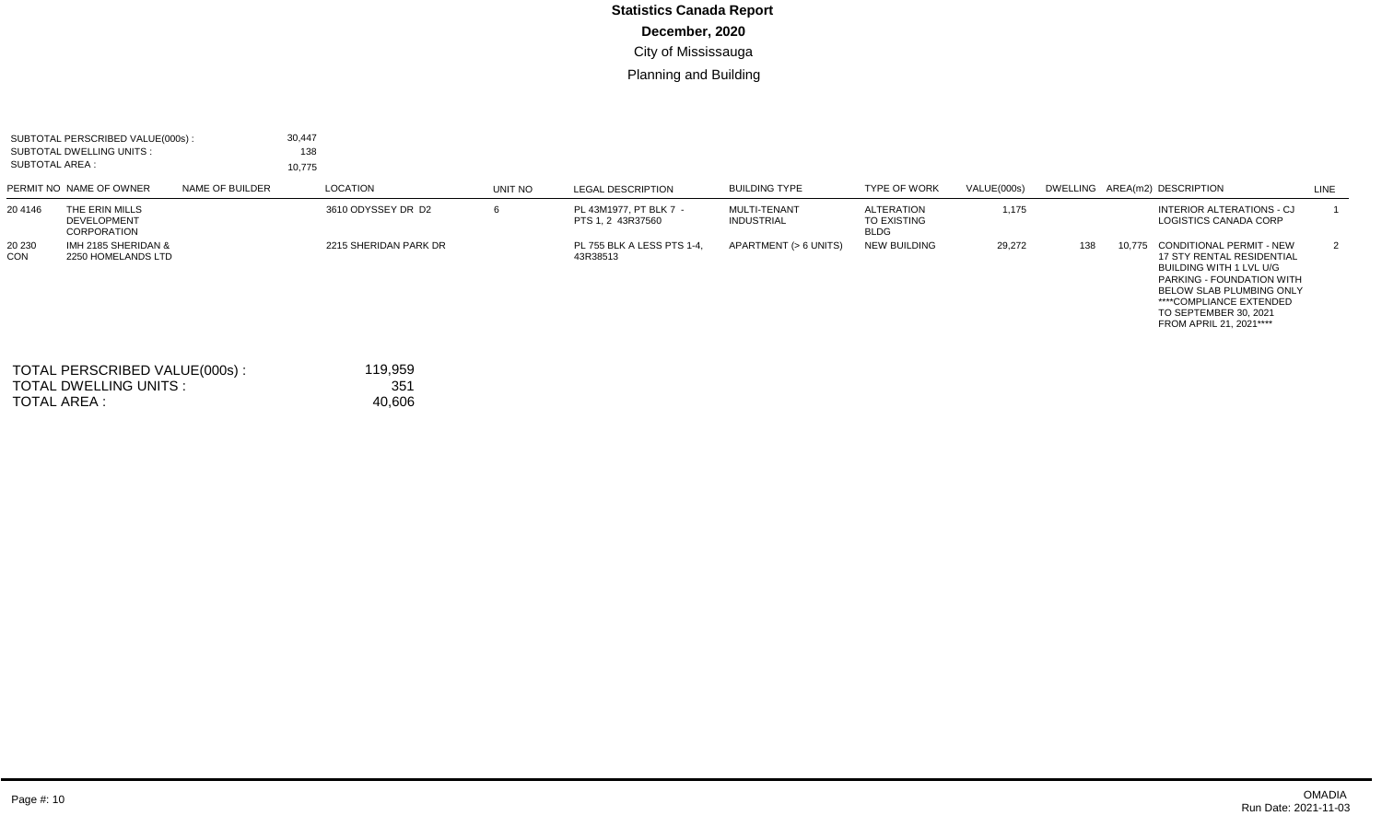|                      | SUBTOTAL PERSCRIBED VALUE(000s):<br><b>SUBTOTAL DWELLING UNITS:</b><br><b>SUBTOTAL AREA:</b> |                 | 30,447<br>138<br>10,775 |                            |         |                                             |                                          |                                                 |             |     |        |                                                                                                                                                                                                                                                      |      |
|----------------------|----------------------------------------------------------------------------------------------|-----------------|-------------------------|----------------------------|---------|---------------------------------------------|------------------------------------------|-------------------------------------------------|-------------|-----|--------|------------------------------------------------------------------------------------------------------------------------------------------------------------------------------------------------------------------------------------------------------|------|
|                      | PERMIT NO NAME OF OWNER                                                                      | NAME OF BUILDER |                         | LOCATION                   | UNIT NO | <b>LEGAL DESCRIPTION</b>                    | <b>BUILDING TYPE</b>                     | <b>TYPE OF WORK</b>                             | VALUE(000s) |     |        | DWELLING AREA(m2) DESCRIPTION                                                                                                                                                                                                                        | LINE |
| 20 4146              | THE ERIN MILLS<br><b>DEVELOPMENT</b><br>CORPORATION                                          |                 |                         | 3610 ODYSSEY DR D2         | 6       | PL 43M1977. PT BLK 7 -<br>PTS 1, 2 43R37560 | <b>MULTI-TENANT</b><br><b>INDUSTRIAL</b> | <b>ALTERATION</b><br>TO EXISTING<br><b>BLDG</b> | 1,175       |     |        | INTERIOR ALTERATIONS - CJ<br>LOGISTICS CANADA CORP                                                                                                                                                                                                   |      |
| 20 230<br><b>CON</b> | IMH 2185 SHERIDAN &<br>2250 HOMELANDS LTD                                                    |                 |                         | 2215 SHERIDAN PARK DR      |         | PL 755 BLK A LESS PTS 1-4,<br>43R38513      | APARTMENT (> 6 UNITS)                    | <b>NEW BUILDING</b>                             | 29,272      | 138 | 10,775 | <b>CONDITIONAL PERMIT - NEW</b><br><b>17 STY RENTAL RESIDENTIAL</b><br><b>BUILDING WITH 1 LVL U/G</b><br>PARKING - FOUNDATION WITH<br><b>BELOW SLAB PLUMBING ONLY</b><br>****COMPLIANCE EXTENDED<br>TO SEPTEMBER 30, 2021<br>FROM APRIL 21, 2021**** | 2    |
|                      | TOTAL PERSCRIBED VALUE(000s):<br><b>TOTAL DWELLING UNITS:</b>                                |                 |                         | 119,959<br>35 <sup>1</sup> |         |                                             |                                          |                                                 |             |     |        |                                                                                                                                                                                                                                                      |      |

TOTAL DWELLING UNITS : TOTAL AREA :

40,606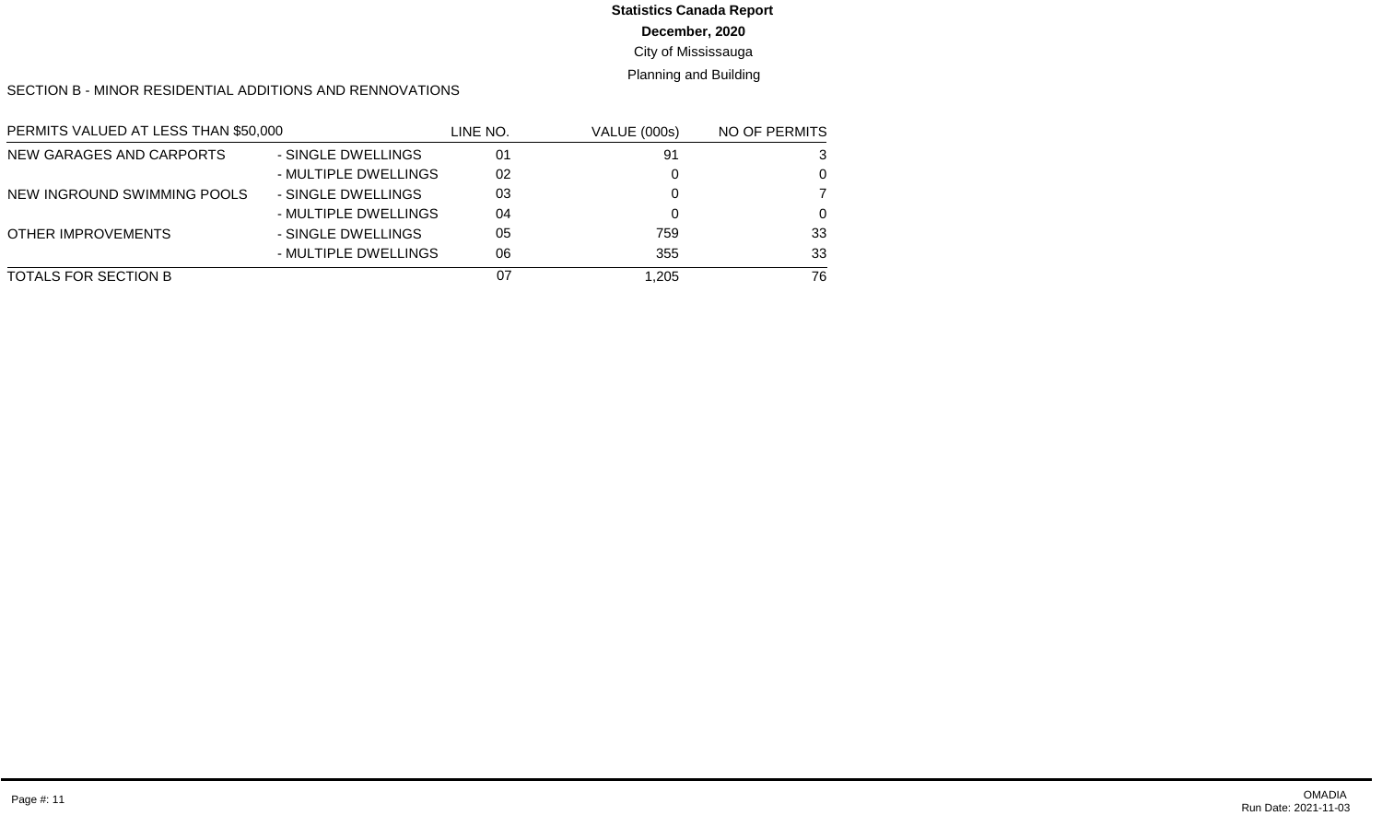# **Statistics Canada Report**

**December, 2020**

City of Mississauga

Planning and Building

SECTION B - MINOR RESIDENTIAL ADDITIONS AND RENNOVATIONS

| PERMITS VALUED AT LESS THAN \$50,000 |                      | line no. | <b>VALUE (000s)</b> | NO OF PERMITS |
|--------------------------------------|----------------------|----------|---------------------|---------------|
| NEW GARAGES AND CARPORTS             | - SINGLE DWELLINGS   | 01       | 91                  | 3             |
|                                      | - MULTIPLE DWELLINGS | 02       |                     | $\Omega$      |
| NEW INGROUND SWIMMING POOLS          | - SINGLE DWELLINGS   | 03       |                     | 7             |
|                                      | - MULTIPLE DWELLINGS | 04       |                     | $\Omega$      |
| <b>OTHER IMPROVEMENTS</b>            | - SINGLE DWELLINGS   | 05       | 759                 | 33            |
|                                      | - MULTIPLE DWELLINGS | 06       | 355                 | 33            |
| TOTALS FOR SECTION B                 |                      | 07       | 1,205               | 76            |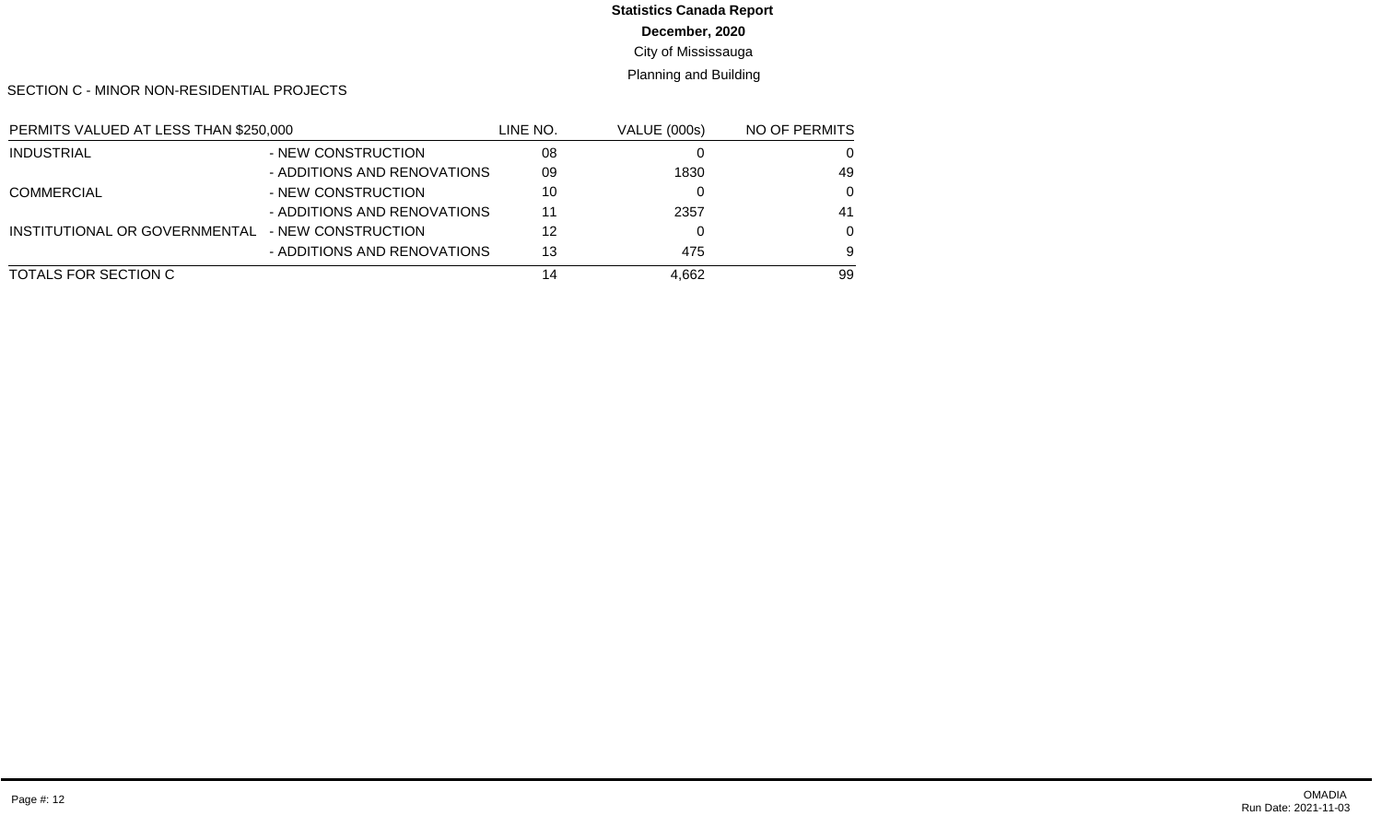# **Statistics Canada Report**

**December, 2020**

City of Mississauga

Planning and Building

SECTION C - MINOR NON-RESIDENTIAL PROJECTS

| PERMITS VALUED AT LESS THAN \$250,000 |                             | LINE NO. | <b>VALUE (000s)</b> | NO OF PERMITS |
|---------------------------------------|-----------------------------|----------|---------------------|---------------|
| <b>INDUSTRIAL</b>                     | - NEW CONSTRUCTION          | 08       |                     | 0             |
|                                       | - ADDITIONS AND RENOVATIONS | 09       | 1830                | 49            |
| <b>COMMERCIAL</b>                     | - NEW CONSTRUCTION          | 10       |                     | $\Omega$      |
|                                       | - ADDITIONS AND RENOVATIONS | 11       | 2357                | 41            |
| INSTITUTIONAL OR GOVERNMENTAL         | - NEW CONSTRUCTION          | 12       |                     | $\Omega$      |
|                                       | - ADDITIONS AND RENOVATIONS | 13       | 475                 | 9             |
| TOTALS FOR SECTION C                  |                             | 14       | 4,662               | 99            |